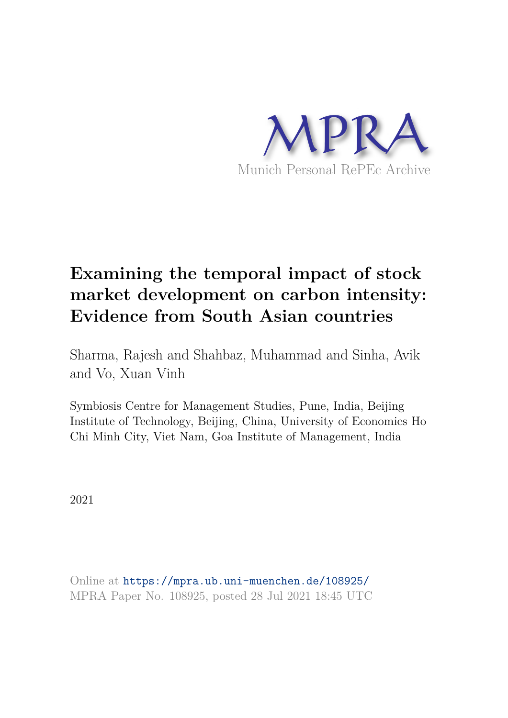

# **Examining the temporal impact of stock market development on carbon intensity: Evidence from South Asian countries**

Sharma, Rajesh and Shahbaz, Muhammad and Sinha, Avik and Vo, Xuan Vinh

Symbiosis Centre for Management Studies, Pune, India, Beijing Institute of Technology, Beijing, China, University of Economics Ho Chi Minh City, Viet Nam, Goa Institute of Management, India

2021

Online at https://mpra.ub.uni-muenchen.de/108925/ MPRA Paper No. 108925, posted 28 Jul 2021 18:45 UTC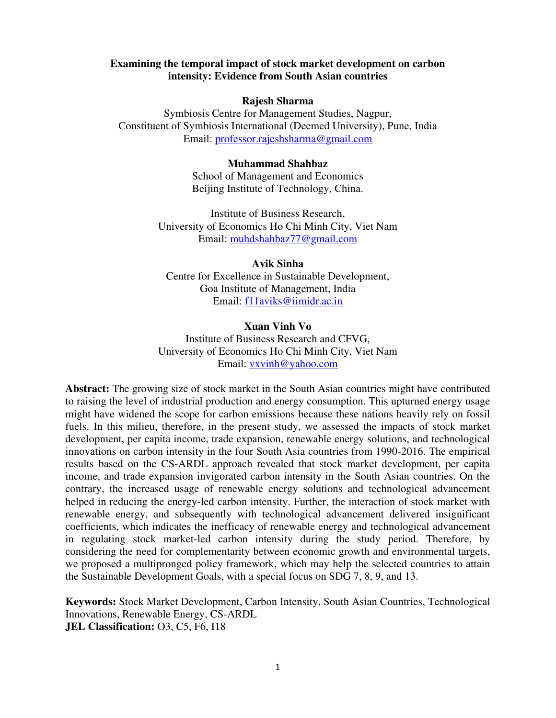# **Examining the temporal impact of stock market development on carbon intensity: Evidence from South Asian countries**

# **Rajesh Sharma**

Symbiosis Centre for Management Studies, Nagpur, Constituent of Symbiosis International (Deemed University), Pune, India Email: [professor.rajeshsharma@gmail.com](mailto:professor.rajeshsharma@gmail.com)

#### **Muhammad Shahbaz**

School of Management and Economics Beijing Institute of Technology, China.

Institute of Business Research, University of Economics Ho Chi Minh City, Viet Nam Email: [muhdshahbaz77@gmail.com](mailto:muhdshahbaz77@gmail.com) 

# **Avik Sinha**

Centre for Excellence in Sustainable Development, Goa Institute of Management, India Email: [f11aviks@iimidr.ac.in](mailto:f11aviks@iimidr.ac.in) 

#### **Xuan Vinh Vo**

Institute of Business Research and CFVG, University of Economics Ho Chi Minh City, Viet Nam Email: [vxvinh@yahoo.com](mailto:vxvinh@yahoo.com) 

**Abstract:** The growing size of stock market in the South Asian countries might have contributed to raising the level of industrial production and energy consumption. This upturned energy usage might have widened the scope for carbon emissions because these nations heavily rely on fossil fuels. In this milieu, therefore, in the present study, we assessed the impacts of stock market development, per capita income, trade expansion, renewable energy solutions, and technological innovations on carbon intensity in the four South Asia countries from 1990-2016. The empirical results based on the CS-ARDL approach revealed that stock market development, per capita income, and trade expansion invigorated carbon intensity in the South Asian countries. On the contrary, the increased usage of renewable energy solutions and technological advancement helped in reducing the energy-led carbon intensity. Further, the interaction of stock market with renewable energy, and subsequently with technological advancement delivered insignificant coefficients, which indicates the inefficacy of renewable energy and technological advancement in regulating stock market-led carbon intensity during the study period. Therefore, by considering the need for complementarity between economic growth and environmental targets, we proposed a multipronged policy framework, which may help the selected countries to attain the Sustainable Development Goals, with a special focus on SDG 7, 8, 9, and 13.

**Keywords:** Stock Market Development, Carbon Intensity, South Asian Countries, Technological Innovations, Renewable Energy, CS-ARDL **JEL Classification:** O3, C5, F6, I18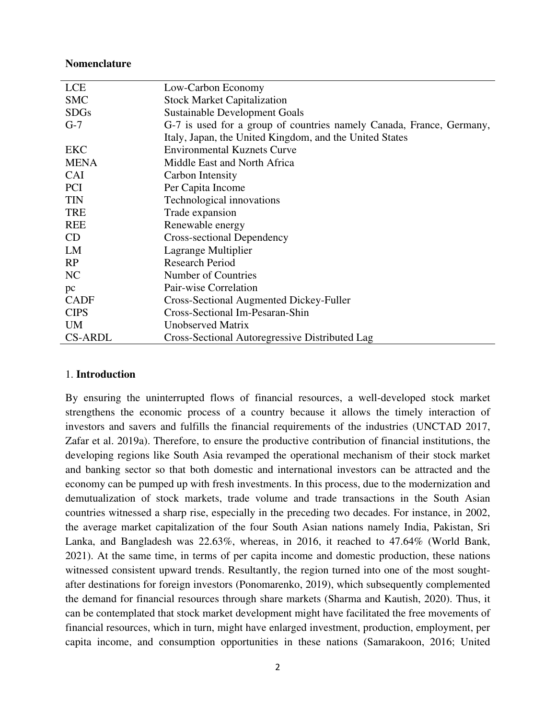#### **Nomenclature**

| <b>LCE</b>     | Low-Carbon Economy                                                   |
|----------------|----------------------------------------------------------------------|
| <b>SMC</b>     | <b>Stock Market Capitalization</b>                                   |
| <b>SDGs</b>    | <b>Sustainable Development Goals</b>                                 |
| $G-7$          | G-7 is used for a group of countries namely Canada, France, Germany, |
|                | Italy, Japan, the United Kingdom, and the United States              |
| EKC            | <b>Environmental Kuznets Curve</b>                                   |
| <b>MENA</b>    | Middle East and North Africa                                         |
| <b>CAI</b>     | Carbon Intensity                                                     |
| <b>PCI</b>     | Per Capita Income                                                    |
| <b>TIN</b>     | Technological innovations                                            |
| <b>TRE</b>     | Trade expansion                                                      |
| <b>REE</b>     | Renewable energy                                                     |
| CD             | Cross-sectional Dependency                                           |
| LM             | Lagrange Multiplier                                                  |
| RP             | <b>Research Period</b>                                               |
| NC             | Number of Countries                                                  |
| pc             | Pair-wise Correlation                                                |
| <b>CADF</b>    | Cross-Sectional Augmented Dickey-Fuller                              |
| <b>CIPS</b>    | Cross-Sectional Im-Pesaran-Shin                                      |
| <b>UM</b>      | <b>Unobserved Matrix</b>                                             |
| <b>CS-ARDL</b> | Cross-Sectional Autoregressive Distributed Lag                       |

# 1. **Introduction**

By ensuring the uninterrupted flows of financial resources, a well-developed stock market strengthens the economic process of a country because it allows the timely interaction of investors and savers and fulfills the financial requirements of the industries (UNCTAD 2017, Zafar et al. 2019a). Therefore, to ensure the productive contribution of financial institutions, the developing regions like South Asia revamped the operational mechanism of their stock market and banking sector so that both domestic and international investors can be attracted and the economy can be pumped up with fresh investments. In this process, due to the modernization and demutualization of stock markets, trade volume and trade transactions in the South Asian countries witnessed a sharp rise, especially in the preceding two decades. For instance, in 2002, the average market capitalization of the four South Asian nations namely India, Pakistan, Sri Lanka, and Bangladesh was 22.63%, whereas, in 2016, it reached to 47.64% (World Bank, 2021). At the same time, in terms of per capita income and domestic production, these nations witnessed consistent upward trends. Resultantly, the region turned into one of the most soughtafter destinations for foreign investors (Ponomarenko, 2019), which subsequently complemented the demand for financial resources through share markets (Sharma and Kautish, 2020). Thus, it can be contemplated that stock market development might have facilitated the free movements of financial resources, which in turn, might have enlarged investment, production, employment, per capita income, and consumption opportunities in these nations (Samarakoon, 2016; United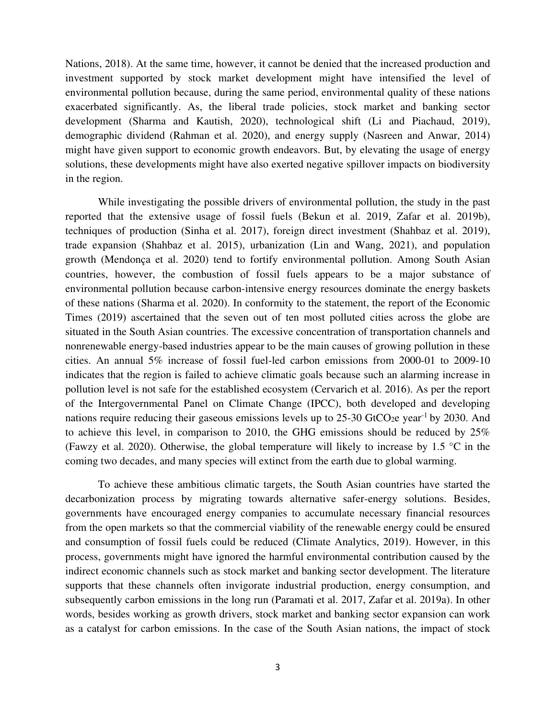Nations, 2018). At the same time, however, it cannot be denied that the increased production and investment supported by stock market development might have intensified the level of environmental pollution because, during the same period, environmental quality of these nations exacerbated significantly. As, the liberal trade policies, stock market and banking sector development (Sharma and Kautish, 2020), technological shift (Li and Piachaud, 2019), demographic dividend (Rahman et al. 2020), and energy supply (Nasreen and Anwar, 2014) might have given support to economic growth endeavors. But, by elevating the usage of energy solutions, these developments might have also exerted negative spillover impacts on biodiversity in the region.

While investigating the possible drivers of environmental pollution, the study in the past reported that the extensive usage of fossil fuels (Bekun et al. 2019, Zafar et al. 2019b), techniques of production (Sinha et al. 2017), foreign direct investment (Shahbaz et al. 2019), trade expansion (Shahbaz et al. 2015), urbanization (Lin and Wang, 2021), and population growth (Mendonça et al. 2020) tend to fortify environmental pollution. Among South Asian countries, however, the combustion of fossil fuels appears to be a major substance of environmental pollution because carbon-intensive energy resources dominate the energy baskets of these nations (Sharma et al. 2020). In conformity to the statement, the report of the Economic Times (2019) ascertained that the seven out of ten most polluted cities across the globe are situated in the South Asian countries. The excessive concentration of transportation channels and nonrenewable energy-based industries appear to be the main causes of growing pollution in these cities. An annual 5% increase of fossil fuel-led carbon emissions from 2000-01 to 2009-10 indicates that the region is failed to achieve climatic goals because such an alarming increase in pollution level is not safe for the established ecosystem (Cervarich et al. 2016). As per the report of the Intergovernmental Panel on Climate Change (IPCC), both developed and developing nations require reducing their gaseous emissions levels up to 25-30 GtCO<sub>2</sub>e year<sup>-1</sup> by 2030. And to achieve this level, in comparison to 2010, the GHG emissions should be reduced by 25% (Fawzy et al. 2020). Otherwise, the global temperature will likely to increase by 1.5 °C in the coming two decades, and many species will extinct from the earth due to global warming.

To achieve these ambitious climatic targets, the South Asian countries have started the decarbonization process by migrating towards alternative safer-energy solutions. Besides, governments have encouraged energy companies to accumulate necessary financial resources from the open markets so that the commercial viability of the renewable energy could be ensured and consumption of fossil fuels could be reduced (Climate Analytics, 2019). However, in this process, governments might have ignored the harmful environmental contribution caused by the indirect economic channels such as stock market and banking sector development. The literature supports that these channels often invigorate industrial production, energy consumption, and subsequently carbon emissions in the long run (Paramati et al. 2017, Zafar et al. 2019a). In other words, besides working as growth drivers, stock market and banking sector expansion can work as a catalyst for carbon emissions. In the case of the South Asian nations, the impact of stock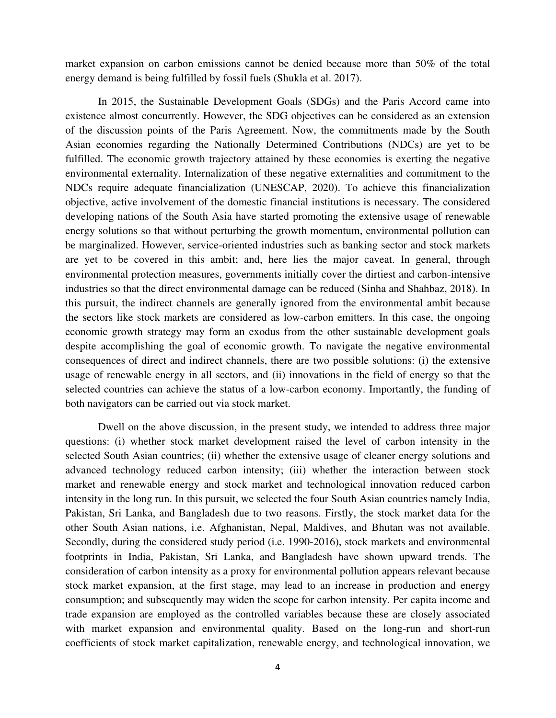market expansion on carbon emissions cannot be denied because more than 50% of the total energy demand is being fulfilled by fossil fuels (Shukla et al. 2017).

In 2015, the Sustainable Development Goals (SDGs) and the Paris Accord came into existence almost concurrently. However, the SDG objectives can be considered as an extension of the discussion points of the Paris Agreement. Now, the commitments made by the South Asian economies regarding the Nationally Determined Contributions (NDCs) are yet to be fulfilled. The economic growth trajectory attained by these economies is exerting the negative environmental externality. Internalization of these negative externalities and commitment to the NDCs require adequate financialization (UNESCAP, 2020). To achieve this financialization objective, active involvement of the domestic financial institutions is necessary. The considered developing nations of the South Asia have started promoting the extensive usage of renewable energy solutions so that without perturbing the growth momentum, environmental pollution can be marginalized. However, service-oriented industries such as banking sector and stock markets are yet to be covered in this ambit; and, here lies the major caveat. In general, through environmental protection measures, governments initially cover the dirtiest and carbon-intensive industries so that the direct environmental damage can be reduced (Sinha and Shahbaz, 2018). In this pursuit, the indirect channels are generally ignored from the environmental ambit because the sectors like stock markets are considered as low-carbon emitters. In this case, the ongoing economic growth strategy may form an exodus from the other sustainable development goals despite accomplishing the goal of economic growth. To navigate the negative environmental consequences of direct and indirect channels, there are two possible solutions: (i) the extensive usage of renewable energy in all sectors, and (ii) innovations in the field of energy so that the selected countries can achieve the status of a low-carbon economy. Importantly, the funding of both navigators can be carried out via stock market.

Dwell on the above discussion, in the present study, we intended to address three major questions: (i) whether stock market development raised the level of carbon intensity in the selected South Asian countries; (ii) whether the extensive usage of cleaner energy solutions and advanced technology reduced carbon intensity; (iii) whether the interaction between stock market and renewable energy and stock market and technological innovation reduced carbon intensity in the long run. In this pursuit, we selected the four South Asian countries namely India, Pakistan, Sri Lanka, and Bangladesh due to two reasons. Firstly, the stock market data for the other South Asian nations, i.e. Afghanistan, Nepal, Maldives, and Bhutan was not available. Secondly, during the considered study period (i.e. 1990-2016), stock markets and environmental footprints in India, Pakistan, Sri Lanka, and Bangladesh have shown upward trends. The consideration of carbon intensity as a proxy for environmental pollution appears relevant because stock market expansion, at the first stage, may lead to an increase in production and energy consumption; and subsequently may widen the scope for carbon intensity. Per capita income and trade expansion are employed as the controlled variables because these are closely associated with market expansion and environmental quality. Based on the long-run and short-run coefficients of stock market capitalization, renewable energy, and technological innovation, we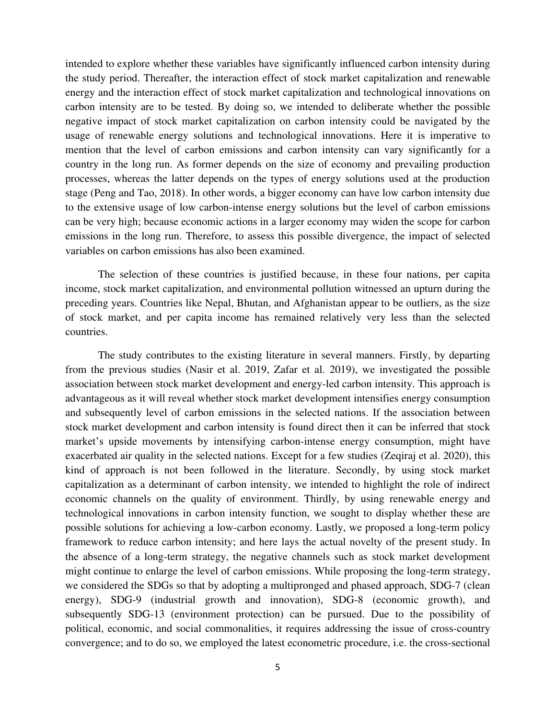intended to explore whether these variables have significantly influenced carbon intensity during the study period. Thereafter, the interaction effect of stock market capitalization and renewable energy and the interaction effect of stock market capitalization and technological innovations on carbon intensity are to be tested. By doing so, we intended to deliberate whether the possible negative impact of stock market capitalization on carbon intensity could be navigated by the usage of renewable energy solutions and technological innovations. Here it is imperative to mention that the level of carbon emissions and carbon intensity can vary significantly for a country in the long run. As former depends on the size of economy and prevailing production processes, whereas the latter depends on the types of energy solutions used at the production stage (Peng and Tao, 2018). In other words, a bigger economy can have low carbon intensity due to the extensive usage of low carbon-intense energy solutions but the level of carbon emissions can be very high; because economic actions in a larger economy may widen the scope for carbon emissions in the long run. Therefore, to assess this possible divergence, the impact of selected variables on carbon emissions has also been examined.

The selection of these countries is justified because, in these four nations, per capita income, stock market capitalization, and environmental pollution witnessed an upturn during the preceding years. Countries like Nepal, Bhutan, and Afghanistan appear to be outliers, as the size of stock market, and per capita income has remained relatively very less than the selected countries.

The study contributes to the existing literature in several manners. Firstly, by departing from the previous studies (Nasir et al. 2019, Zafar et al. 2019), we investigated the possible association between stock market development and energy-led carbon intensity. This approach is advantageous as it will reveal whether stock market development intensifies energy consumption and subsequently level of carbon emissions in the selected nations. If the association between stock market development and carbon intensity is found direct then it can be inferred that stock market's upside movements by intensifying carbon-intense energy consumption, might have exacerbated air quality in the selected nations. Except for a few studies (Zeqiraj et al. 2020), this kind of approach is not been followed in the literature. Secondly, by using stock market capitalization as a determinant of carbon intensity, we intended to highlight the role of indirect economic channels on the quality of environment. Thirdly, by using renewable energy and technological innovations in carbon intensity function, we sought to display whether these are possible solutions for achieving a low-carbon economy. Lastly, we proposed a long-term policy framework to reduce carbon intensity; and here lays the actual novelty of the present study. In the absence of a long-term strategy, the negative channels such as stock market development might continue to enlarge the level of carbon emissions. While proposing the long-term strategy, we considered the SDGs so that by adopting a multipronged and phased approach, SDG-7 (clean energy), SDG-9 (industrial growth and innovation), SDG-8 (economic growth), and subsequently SDG-13 (environment protection) can be pursued. Due to the possibility of political, economic, and social commonalities, it requires addressing the issue of cross-country convergence; and to do so, we employed the latest econometric procedure, i.e. the cross-sectional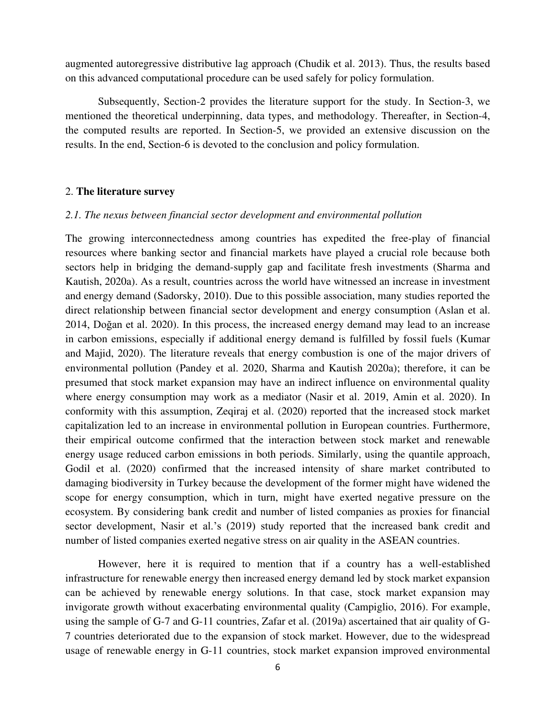augmented autoregressive distributive lag approach (Chudik et al. 2013). Thus, the results based on this advanced computational procedure can be used safely for policy formulation.

Subsequently, Section-2 provides the literature support for the study. In Section-3, we mentioned the theoretical underpinning, data types, and methodology. Thereafter, in Section-4, the computed results are reported. In Section-5, we provided an extensive discussion on the results. In the end, Section-6 is devoted to the conclusion and policy formulation.

#### 2. **The literature survey**

#### *2.1. The nexus between financial sector development and environmental pollution*

The growing interconnectedness among countries has expedited the free-play of financial resources where banking sector and financial markets have played a crucial role because both sectors help in bridging the demand-supply gap and facilitate fresh investments (Sharma and Kautish, 2020a). As a result, countries across the world have witnessed an increase in investment and energy demand (Sadorsky, 2010). Due to this possible association, many studies reported the direct relationship between financial sector development and energy consumption (Aslan et al. 2014, Doğan et al. 2020). In this process, the increased energy demand may lead to an increase in carbon emissions, especially if additional energy demand is fulfilled by fossil fuels (Kumar and Majid, 2020). The literature reveals that energy combustion is one of the major drivers of environmental pollution (Pandey et al. 2020, Sharma and Kautish 2020a); therefore, it can be presumed that stock market expansion may have an indirect influence on environmental quality where energy consumption may work as a mediator (Nasir et al. 2019, Amin et al. 2020). In conformity with this assumption, Zeqiraj et al. (2020) reported that the increased stock market capitalization led to an increase in environmental pollution in European countries. Furthermore, their empirical outcome confirmed that the interaction between stock market and renewable energy usage reduced carbon emissions in both periods. Similarly, using the quantile approach, Godil et al. (2020) confirmed that the increased intensity of share market contributed to damaging biodiversity in Turkey because the development of the former might have widened the scope for energy consumption, which in turn, might have exerted negative pressure on the ecosystem. By considering bank credit and number of listed companies as proxies for financial sector development, Nasir et al.'s (2019) study reported that the increased bank credit and number of listed companies exerted negative stress on air quality in the ASEAN countries.

However, here it is required to mention that if a country has a well-established infrastructure for renewable energy then increased energy demand led by stock market expansion can be achieved by renewable energy solutions. In that case, stock market expansion may invigorate growth without exacerbating environmental quality (Campiglio, 2016). For example, using the sample of G-7 and G-11 countries, Zafar et al. (2019a) ascertained that air quality of G-7 countries deteriorated due to the expansion of stock market. However, due to the widespread usage of renewable energy in G-11 countries, stock market expansion improved environmental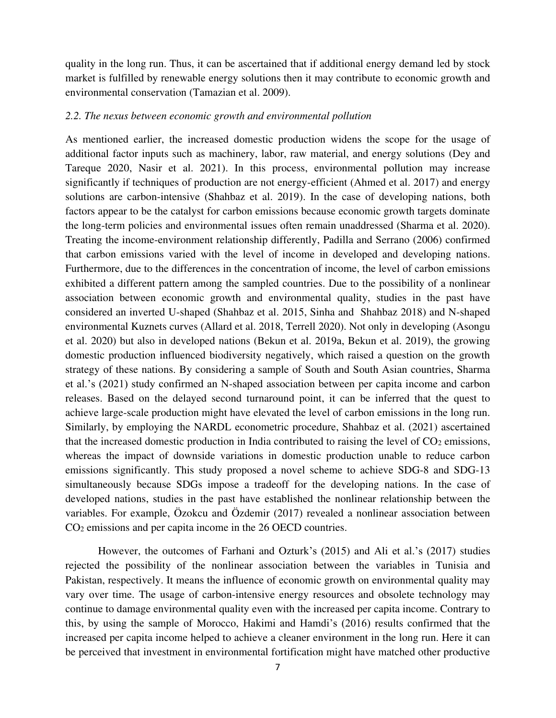quality in the long run. Thus, it can be ascertained that if additional energy demand led by stock market is fulfilled by renewable energy solutions then it may contribute to economic growth and environmental conservation (Tamazian et al. 2009).

#### *2.2. The nexus between economic growth and environmental pollution*

As mentioned earlier, the increased domestic production widens the scope for the usage of additional factor inputs such as machinery, labor, raw material, and energy solutions (Dey and Tareque 2020, Nasir et al. 2021). In this process, environmental pollution may increase significantly if techniques of production are not energy-efficient (Ahmed et al. 2017) and energy solutions are carbon-intensive (Shahbaz et al. 2019). In the case of developing nations, both factors appear to be the catalyst for carbon emissions because economic growth targets dominate the long-term policies and environmental issues often remain unaddressed (Sharma et al. 2020). Treating the income-environment relationship differently, Padilla and Serrano (2006) confirmed that carbon emissions varied with the level of income in developed and developing nations. Furthermore, due to the differences in the concentration of income, the level of carbon emissions exhibited a different pattern among the sampled countries. Due to the possibility of a nonlinear association between economic growth and environmental quality, studies in the past have considered an inverted U-shaped (Shahbaz et al. 2015, Sinha and Shahbaz 2018) and N-shaped environmental Kuznets curves (Allard et al. 2018, Terrell 2020). Not only in developing (Asongu et al. 2020) but also in developed nations (Bekun et al. 2019a, Bekun et al. 2019), the growing domestic production influenced biodiversity negatively, which raised a question on the growth strategy of these nations. By considering a sample of South and South Asian countries, Sharma et al.'s (2021) study confirmed an N-shaped association between per capita income and carbon releases. Based on the delayed second turnaround point, it can be inferred that the quest to achieve large-scale production might have elevated the level of carbon emissions in the long run. Similarly, by employing the NARDL econometric procedure, Shahbaz et al. (2021) ascertained that the increased domestic production in India contributed to raising the level of  $CO<sub>2</sub>$  emissions, whereas the impact of downside variations in domestic production unable to reduce carbon emissions significantly. This study proposed a novel scheme to achieve SDG-8 and SDG-13 simultaneously because SDGs impose a tradeoff for the developing nations. In the case of developed nations, studies in the past have established the nonlinear relationship between the variables. For example, Özokcu and Özdemir (2017) revealed a nonlinear association between CO2 emissions and per capita income in the 26 OECD countries.

However, the outcomes of Farhani and Ozturk's (2015) and Ali et al.'s (2017) studies rejected the possibility of the nonlinear association between the variables in Tunisia and Pakistan, respectively. It means the influence of economic growth on environmental quality may vary over time. The usage of carbon-intensive energy resources and obsolete technology may continue to damage environmental quality even with the increased per capita income. Contrary to this, by using the sample of Morocco, Hakimi and Hamdi's (2016) results confirmed that the increased per capita income helped to achieve a cleaner environment in the long run. Here it can be perceived that investment in environmental fortification might have matched other productive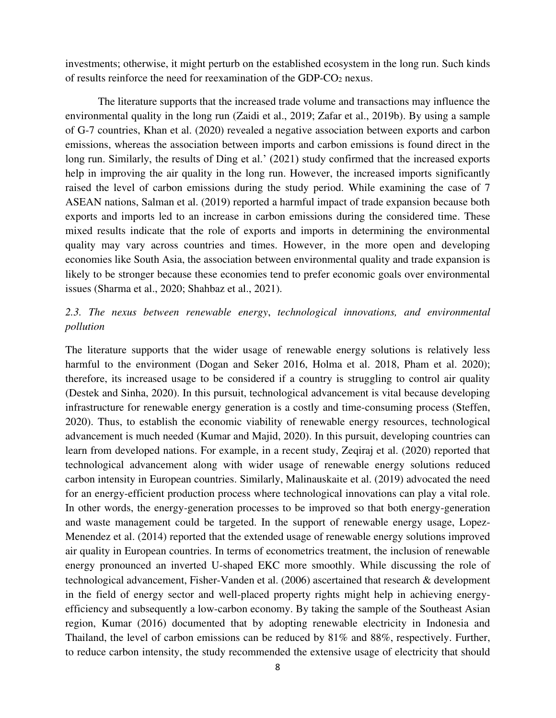investments; otherwise, it might perturb on the established ecosystem in the long run. Such kinds of results reinforce the need for reexamination of the GDP-CO2 nexus.

The literature supports that the increased trade volume and transactions may influence the environmental quality in the long run (Zaidi et al., 2019; Zafar et al., 2019b). By using a sample of G-7 countries, Khan et al. (2020) revealed a negative association between exports and carbon emissions, whereas the association between imports and carbon emissions is found direct in the long run. Similarly, the results of Ding et al.' (2021) study confirmed that the increased exports help in improving the air quality in the long run. However, the increased imports significantly raised the level of carbon emissions during the study period. While examining the case of 7 ASEAN nations, Salman et al. (2019) reported a harmful impact of trade expansion because both exports and imports led to an increase in carbon emissions during the considered time. These mixed results indicate that the role of exports and imports in determining the environmental quality may vary across countries and times. However, in the more open and developing economies like South Asia, the association between environmental quality and trade expansion is likely to be stronger because these economies tend to prefer economic goals over environmental issues (Sharma et al., 2020; Shahbaz et al., 2021).

# *2.3. The nexus between renewable energy*, *technological innovations, and environmental pollution*

The literature supports that the wider usage of renewable energy solutions is relatively less harmful to the environment (Dogan and Seker 2016, Holma et al. 2018, Pham et al. 2020); therefore, its increased usage to be considered if a country is struggling to control air quality (Destek and Sinha, 2020). In this pursuit, technological advancement is vital because developing infrastructure for renewable energy generation is a costly and time-consuming process (Steffen, 2020). Thus, to establish the economic viability of renewable energy resources, technological advancement is much needed (Kumar and Majid, 2020). In this pursuit, developing countries can learn from developed nations. For example, in a recent study, Zeqiraj et al. (2020) reported that technological advancement along with wider usage of renewable energy solutions reduced carbon intensity in European countries. Similarly, Malinauskaite et al. (2019) advocated the need for an energy-efficient production process where technological innovations can play a vital role. In other words, the energy-generation processes to be improved so that both energy-generation and waste management could be targeted. In the support of renewable energy usage, Lopez-Menendez et al. (2014) reported that the extended usage of renewable energy solutions improved air quality in European countries. In terms of econometrics treatment, the inclusion of renewable energy pronounced an inverted U-shaped EKC more smoothly. While discussing the role of technological advancement, Fisher-Vanden et al. (2006) ascertained that research & development in the field of energy sector and well-placed property rights might help in achieving energyefficiency and subsequently a low-carbon economy. By taking the sample of the Southeast Asian region, Kumar (2016) documented that by adopting renewable electricity in Indonesia and Thailand, the level of carbon emissions can be reduced by 81% and 88%, respectively. Further, to reduce carbon intensity, the study recommended the extensive usage of electricity that should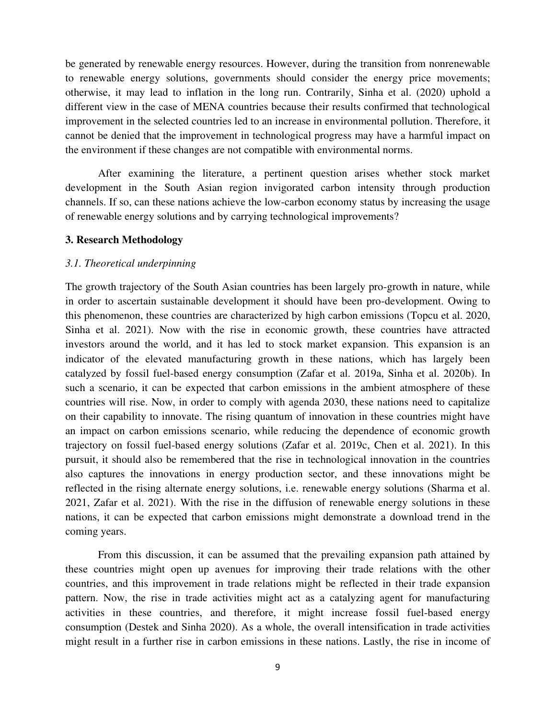be generated by renewable energy resources. However, during the transition from nonrenewable to renewable energy solutions, governments should consider the energy price movements; otherwise, it may lead to inflation in the long run. Contrarily, Sinha et al. (2020) uphold a different view in the case of MENA countries because their results confirmed that technological improvement in the selected countries led to an increase in environmental pollution. Therefore, it cannot be denied that the improvement in technological progress may have a harmful impact on the environment if these changes are not compatible with environmental norms.

After examining the literature, a pertinent question arises whether stock market development in the South Asian region invigorated carbon intensity through production channels. If so, can these nations achieve the low-carbon economy status by increasing the usage of renewable energy solutions and by carrying technological improvements?

#### **3. Research Methodology**

# *3.1. Theoretical underpinning*

The growth trajectory of the South Asian countries has been largely pro-growth in nature, while in order to ascertain sustainable development it should have been pro-development. Owing to this phenomenon, these countries are characterized by high carbon emissions (Topcu et al. 2020, Sinha et al. 2021). Now with the rise in economic growth, these countries have attracted investors around the world, and it has led to stock market expansion. This expansion is an indicator of the elevated manufacturing growth in these nations, which has largely been catalyzed by fossil fuel-based energy consumption (Zafar et al. 2019a, Sinha et al. 2020b). In such a scenario, it can be expected that carbon emissions in the ambient atmosphere of these countries will rise. Now, in order to comply with agenda 2030, these nations need to capitalize on their capability to innovate. The rising quantum of innovation in these countries might have an impact on carbon emissions scenario, while reducing the dependence of economic growth trajectory on fossil fuel-based energy solutions (Zafar et al. 2019c, Chen et al. 2021). In this pursuit, it should also be remembered that the rise in technological innovation in the countries also captures the innovations in energy production sector, and these innovations might be reflected in the rising alternate energy solutions, i.e. renewable energy solutions (Sharma et al. 2021, Zafar et al. 2021). With the rise in the diffusion of renewable energy solutions in these nations, it can be expected that carbon emissions might demonstrate a download trend in the coming years.

From this discussion, it can be assumed that the prevailing expansion path attained by these countries might open up avenues for improving their trade relations with the other countries, and this improvement in trade relations might be reflected in their trade expansion pattern. Now, the rise in trade activities might act as a catalyzing agent for manufacturing activities in these countries, and therefore, it might increase fossil fuel-based energy consumption (Destek and Sinha 2020). As a whole, the overall intensification in trade activities might result in a further rise in carbon emissions in these nations. Lastly, the rise in income of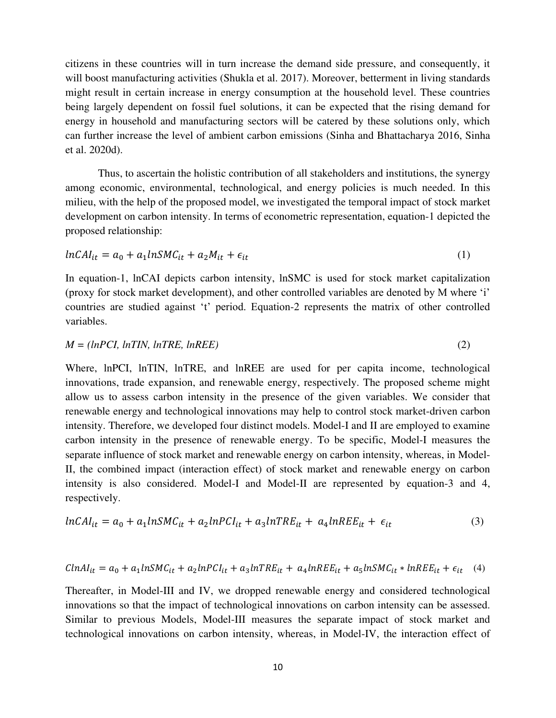citizens in these countries will in turn increase the demand side pressure, and consequently, it will boost manufacturing activities (Shukla et al. 2017). Moreover, betterment in living standards might result in certain increase in energy consumption at the household level. These countries being largely dependent on fossil fuel solutions, it can be expected that the rising demand for energy in household and manufacturing sectors will be catered by these solutions only, which can further increase the level of ambient carbon emissions (Sinha and Bhattacharya 2016, Sinha et al. 2020d).

Thus, to ascertain the holistic contribution of all stakeholders and institutions, the synergy among economic, environmental, technological, and energy policies is much needed. In this milieu, with the help of the proposed model, we investigated the temporal impact of stock market development on carbon intensity. In terms of econometric representation, equation-1 depicted the proposed relationship:

$$
lnCAI_{it} = a_0 + a_1 lnSMC_{it} + a_2M_{it} + \epsilon_{it}
$$
\n<sup>(1)</sup>

In equation-1, lnCAI depicts carbon intensity, lnSMC is used for stock market capitalization (proxy for stock market development), and other controlled variables are denoted by M where 'i' countries are studied against 't' period. Equation-2 represents the matrix of other controlled variables.

$$
M = (lnPCI, lnTIN, lnTRE, lnREE)
$$
\n
$$
(2)
$$

Where, lnPCI, lnTIN, lnTRE, and lnREE are used for per capita income, technological innovations, trade expansion, and renewable energy, respectively. The proposed scheme might allow us to assess carbon intensity in the presence of the given variables. We consider that renewable energy and technological innovations may help to control stock market-driven carbon intensity. Therefore, we developed four distinct models. Model-I and II are employed to examine carbon intensity in the presence of renewable energy. To be specific, Model-I measures the separate influence of stock market and renewable energy on carbon intensity, whereas, in Model-II, the combined impact (interaction effect) of stock market and renewable energy on carbon intensity is also considered. Model-I and Model-II are represented by equation-3 and 4, respectively.

$$
lnCAI_{it} = a_0 + a_1 lnSMC_{it} + a_2 lnPCI_{it} + a_3 lnTRE_{it} + a_4 lnREF_{it} + \epsilon_{it}
$$
\n
$$
(3)
$$

$$
Cln A I_{it} = a_0 + a_1 ln SMC_{it} + a_2 ln PCI_{it} + a_3 ln TRE_{it} + a_4 ln REE_{it} + a_5 ln SMC_{it} * ln REE_{it} + \epsilon_{it} \quad (4)
$$

Thereafter, in Model-III and IV, we dropped renewable energy and considered technological innovations so that the impact of technological innovations on carbon intensity can be assessed. Similar to previous Models, Model-III measures the separate impact of stock market and technological innovations on carbon intensity, whereas, in Model-IV, the interaction effect of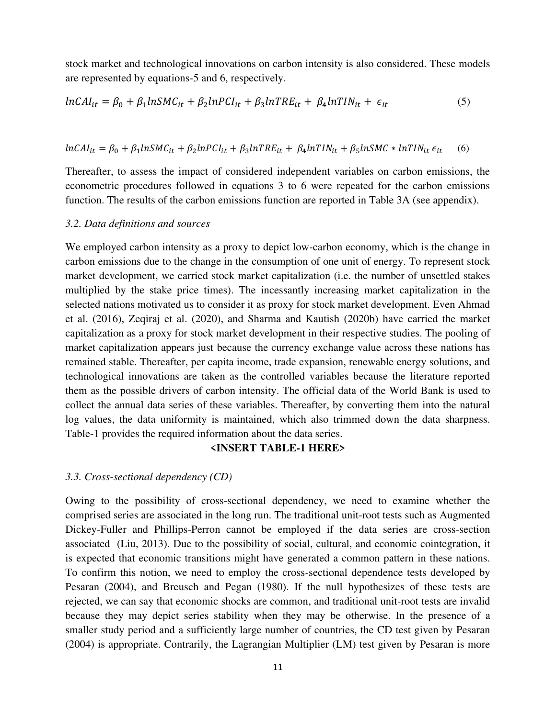stock market and technological innovations on carbon intensity is also considered. These models are represented by equations-5 and 6, respectively.

$$
lnCAI_{it} = \beta_0 + \beta_1 lnSMC_{it} + \beta_2 lnPCI_{it} + \beta_3 lnTRE_{it} + \beta_4 lnTIN_{it} + \epsilon_{it}
$$
 (5)

 $lnCAI_{it} = \beta_0 + \beta_1 lnSMC_{it} + \beta_2 lnPCI_{it} + \beta_3 lnTRE_{it} + \beta_4 lnTIN_{it} + \beta_5 lnSMC * lnTIN_{it} \epsilon_{it}$  (6)

Thereafter, to assess the impact of considered independent variables on carbon emissions, the econometric procedures followed in equations 3 to 6 were repeated for the carbon emissions function. The results of the carbon emissions function are reported in Table 3A (see appendix).

#### *3.2. Data definitions and sources*

We employed carbon intensity as a proxy to depict low-carbon economy, which is the change in carbon emissions due to the change in the consumption of one unit of energy. To represent stock market development, we carried stock market capitalization (i.e. the number of unsettled stakes multiplied by the stake price times). The incessantly increasing market capitalization in the selected nations motivated us to consider it as proxy for stock market development. Even Ahmad et al. (2016), Zeqiraj et al. (2020), and Sharma and Kautish (2020b) have carried the market capitalization as a proxy for stock market development in their respective studies. The pooling of market capitalization appears just because the currency exchange value across these nations has remained stable. Thereafter, per capita income, trade expansion, renewable energy solutions, and technological innovations are taken as the controlled variables because the literature reported them as the possible drivers of carbon intensity. The official data of the World Bank is used to collect the annual data series of these variables. Thereafter, by converting them into the natural log values, the data uniformity is maintained, which also trimmed down the data sharpness. Table-1 provides the required information about the data series.

# **<INSERT TABLE-1 HERE>**

#### *3.3. Cross-sectional dependency (CD)*

Owing to the possibility of cross-sectional dependency, we need to examine whether the comprised series are associated in the long run. The traditional unit-root tests such as Augmented Dickey-Fuller and Phillips-Perron cannot be employed if the data series are cross-section associated (Liu, 2013). Due to the possibility of social, cultural, and economic cointegration, it is expected that economic transitions might have generated a common pattern in these nations. To confirm this notion, we need to employ the cross-sectional dependence tests developed by Pesaran (2004), and Breusch and Pegan (1980). If the null hypothesizes of these tests are rejected, we can say that economic shocks are common, and traditional unit-root tests are invalid because they may depict series stability when they may be otherwise. In the presence of a smaller study period and a sufficiently large number of countries, the CD test given by Pesaran (2004) is appropriate. Contrarily, the Lagrangian Multiplier (LM) test given by Pesaran is more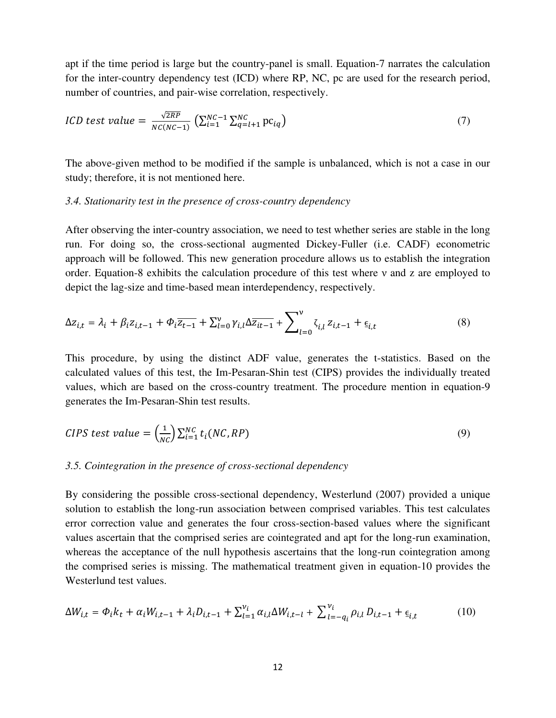apt if the time period is large but the country-panel is small. Equation-7 narrates the calculation for the inter-country dependency test (ICD) where RP, NC, pc are used for the research period, number of countries, and pair-wise correlation, respectively.

$$
ICD \text{ test value} = \frac{\sqrt{2RP}}{NC(NC-1)} \left( \sum_{i=1}^{NC-1} \sum_{q=l+1}^{NC} pc_{iq} \right) \tag{7}
$$

The above-given method to be modified if the sample is unbalanced, which is not a case in our study; therefore, it is not mentioned here.

#### *3.4. Stationarity test in the presence of cross-country dependency*

After observing the inter-country association, we need to test whether series are stable in the long run. For doing so, the cross-sectional augmented Dickey-Fuller (i.e. CADF) econometric approach will be followed. This new generation procedure allows us to establish the integration order. Equation-8 exhibits the calculation procedure of this test where ν and z are employed to depict the lag-size and time-based mean interdependency, respectively.

$$
\Delta z_{i,t} = \lambda_i + \beta_i z_{i,t-1} + \Phi_i \overline{z_{t-1}} + \sum_{l=0}^{\nu} \gamma_{i,l} \Delta \overline{z_{it-1}} + \sum_{l=0}^{\nu} \zeta_{i,l} z_{i,t-1} + \underline{\epsilon}_{i,t}
$$
(8)

This procedure, by using the distinct ADF value, generates the t-statistics. Based on the calculated values of this test, the Im-Pesaran-Shin test (CIPS) provides the individually treated values, which are based on the cross-country treatment. The procedure mention in equation-9 generates the Im-Pesaran-Shin test results.

CIPS test value = 
$$
\left(\frac{1}{NC}\right) \sum_{i=1}^{NC} t_i (NC, RP)
$$
 (9)

#### *3.5. Cointegration in the presence of cross-sectional dependency*

By considering the possible cross-sectional dependency, Westerlund (2007) provided a unique solution to establish the long-run association between comprised variables. This test calculates error correction value and generates the four cross-section-based values where the significant values ascertain that the comprised series are cointegrated and apt for the long-run examination, whereas the acceptance of the null hypothesis ascertains that the long-run cointegration among the comprised series is missing. The mathematical treatment given in equation-10 provides the Westerlund test values.

$$
\Delta W_{i,t} = \Phi_i k_t + \alpha_i W_{i,t-1} + \lambda_i D_{i,t-1} + \sum_{l=1}^{\nu_i} \alpha_{i,l} \Delta W_{i,t-l} + \sum_{l=-q_i}^{\nu_i} \rho_{i,l} D_{i,t-1} + \epsilon_{i,t}
$$
(10)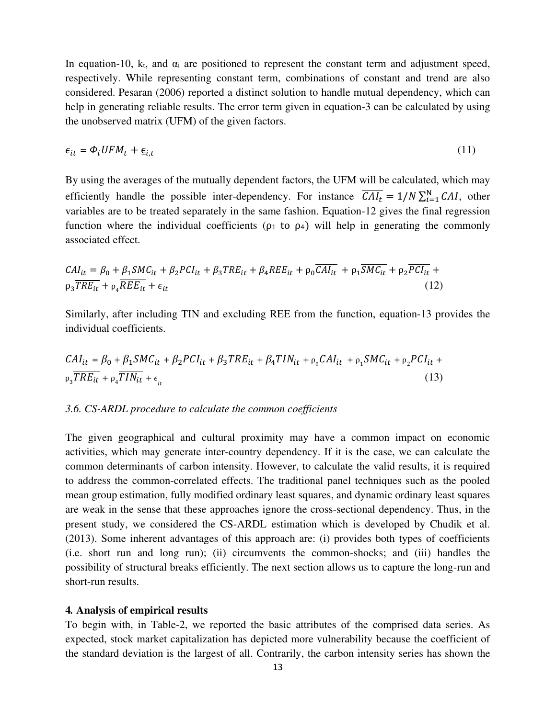In equation-10, k<sub>t</sub>, and  $\alpha_i$  are positioned to represent the constant term and adjustment speed, respectively. While representing constant term, combinations of constant and trend are also considered. Pesaran (2006) reported a distinct solution to handle mutual dependency, which can help in generating reliable results. The error term given in equation-3 can be calculated by using the unobserved matrix (UFM) of the given factors.

$$
\epsilon_{it} = \Phi_i U F M_t + \underline{\epsilon}_{i,t} \tag{11}
$$

By using the averages of the mutually dependent factors, the UFM will be calculated, which may efficiently handle the possible inter-dependency. For instance–  $CAI_t = 1/N \sum_{i=1}^{N} CAI$ , other variables are to be treated separately in the same fashion. Equation-12 gives the final regression function where the individual coefficients ( $\rho_1$  to  $\rho_4$ ) will help in generating the commonly associated effect.

$$
CAI_{it} = \beta_0 + \beta_1 SMC_{it} + \beta_2 PCI_{it} + \beta_3 TRE_{it} + \beta_4 REE_{it} + \rho_0 \overline{CAI_{it}} + \rho_1 \overline{SMC_{it}} + \rho_2 \overline{PCI_{it}} + \rho_3 \overline{TRE_{it}} + \rho_4 \overline{REE_{it}} + \epsilon_{it}
$$
\n(12)

Similarly, after including TIN and excluding REE from the function, equation-13 provides the individual coefficients.

$$
CAI_{it} = \beta_0 + \beta_1 SMC_{it} + \beta_2 PCI_{it} + \beta_3 TRE_{it} + \beta_4 TIN_{it} + \rho_0 \overline{CAI_{it}} + \rho_1 \overline{SMC_{it}} + \rho_2 \overline{PCI_{it}} + \rho_3 \overline{TRE_{it}} + \rho_4 \overline{TIN_{it}} + \epsilon_{it}
$$
\n(13)

#### *3.6. CS-ARDL procedure to calculate the common coefficients*

The given geographical and cultural proximity may have a common impact on economic activities, which may generate inter-country dependency. If it is the case, we can calculate the common determinants of carbon intensity. However, to calculate the valid results, it is required to address the common-correlated effects. The traditional panel techniques such as the pooled mean group estimation, fully modified ordinary least squares, and dynamic ordinary least squares are weak in the sense that these approaches ignore the cross-sectional dependency. Thus, in the present study, we considered the CS-ARDL estimation which is developed by Chudik et al. (2013). Some inherent advantages of this approach are: (i) provides both types of coefficients (i.e. short run and long run); (ii) circumvents the common-shocks; and (iii) handles the possibility of structural breaks efficiently. The next section allows us to capture the long-run and short-run results.

#### **4***.* **Analysis of empirical results**

To begin with, in Table-2, we reported the basic attributes of the comprised data series. As expected, stock market capitalization has depicted more vulnerability because the coefficient of the standard deviation is the largest of all. Contrarily, the carbon intensity series has shown the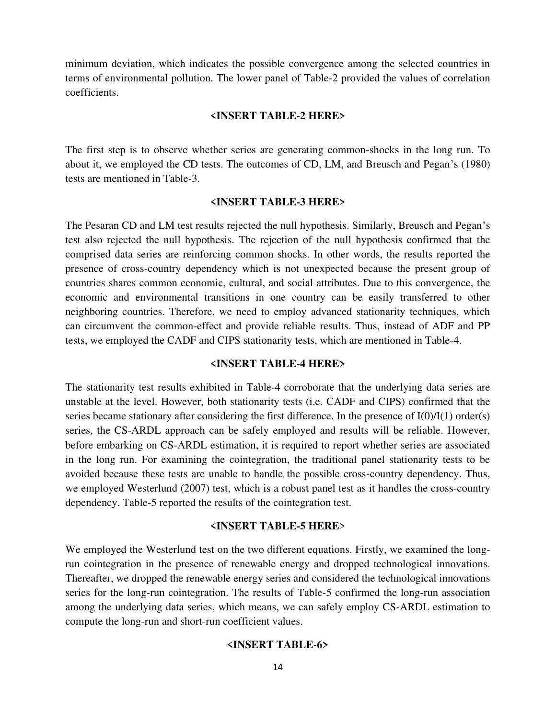minimum deviation, which indicates the possible convergence among the selected countries in terms of environmental pollution. The lower panel of Table-2 provided the values of correlation coefficients.

#### **<INSERT TABLE-2 HERE>**

The first step is to observe whether series are generating common-shocks in the long run. To about it, we employed the CD tests. The outcomes of CD, LM, and Breusch and Pegan's (1980) tests are mentioned in Table-3.

# **<INSERT TABLE-3 HERE>**

The Pesaran CD and LM test results rejected the null hypothesis. Similarly, Breusch and Pegan's test also rejected the null hypothesis. The rejection of the null hypothesis confirmed that the comprised data series are reinforcing common shocks. In other words, the results reported the presence of cross-country dependency which is not unexpected because the present group of countries shares common economic, cultural, and social attributes. Due to this convergence, the economic and environmental transitions in one country can be easily transferred to other neighboring countries. Therefore, we need to employ advanced stationarity techniques, which can circumvent the common-effect and provide reliable results. Thus, instead of ADF and PP tests, we employed the CADF and CIPS stationarity tests, which are mentioned in Table-4.

#### **<INSERT TABLE-4 HERE>**

The stationarity test results exhibited in Table-4 corroborate that the underlying data series are unstable at the level. However, both stationarity tests (i.e. CADF and CIPS) confirmed that the series became stationary after considering the first difference. In the presence of  $I(0)/I(1)$  order(s) series, the CS-ARDL approach can be safely employed and results will be reliable. However, before embarking on CS-ARDL estimation, it is required to report whether series are associated in the long run. For examining the cointegration, the traditional panel stationarity tests to be avoided because these tests are unable to handle the possible cross-country dependency. Thus, we employed Westerlund (2007) test, which is a robust panel test as it handles the cross-country dependency. Table-5 reported the results of the cointegration test.

# **<INSERT TABLE-5 HERE**>

We employed the Westerlund test on the two different equations. Firstly, we examined the longrun cointegration in the presence of renewable energy and dropped technological innovations. Thereafter, we dropped the renewable energy series and considered the technological innovations series for the long-run cointegration. The results of Table-5 confirmed the long-run association among the underlying data series, which means, we can safely employ CS-ARDL estimation to compute the long-run and short-run coefficient values.

#### **<INSERT TABLE-6>**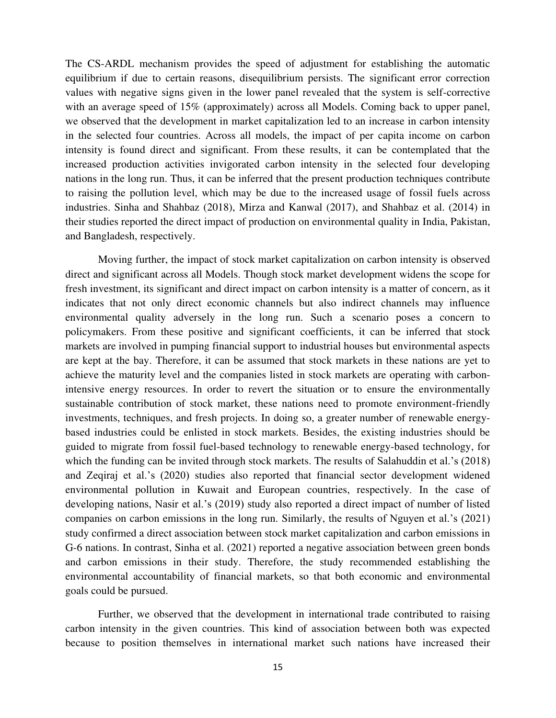The CS-ARDL mechanism provides the speed of adjustment for establishing the automatic equilibrium if due to certain reasons, disequilibrium persists. The significant error correction values with negative signs given in the lower panel revealed that the system is self-corrective with an average speed of 15% (approximately) across all Models. Coming back to upper panel, we observed that the development in market capitalization led to an increase in carbon intensity in the selected four countries. Across all models, the impact of per capita income on carbon intensity is found direct and significant. From these results, it can be contemplated that the increased production activities invigorated carbon intensity in the selected four developing nations in the long run. Thus, it can be inferred that the present production techniques contribute to raising the pollution level, which may be due to the increased usage of fossil fuels across industries. Sinha and Shahbaz (2018), Mirza and Kanwal (2017), and Shahbaz et al. (2014) in their studies reported the direct impact of production on environmental quality in India, Pakistan, and Bangladesh, respectively.

Moving further, the impact of stock market capitalization on carbon intensity is observed direct and significant across all Models. Though stock market development widens the scope for fresh investment, its significant and direct impact on carbon intensity is a matter of concern, as it indicates that not only direct economic channels but also indirect channels may influence environmental quality adversely in the long run. Such a scenario poses a concern to policymakers. From these positive and significant coefficients, it can be inferred that stock markets are involved in pumping financial support to industrial houses but environmental aspects are kept at the bay. Therefore, it can be assumed that stock markets in these nations are yet to achieve the maturity level and the companies listed in stock markets are operating with carbonintensive energy resources. In order to revert the situation or to ensure the environmentally sustainable contribution of stock market, these nations need to promote environment-friendly investments, techniques, and fresh projects. In doing so, a greater number of renewable energybased industries could be enlisted in stock markets. Besides, the existing industries should be guided to migrate from fossil fuel-based technology to renewable energy-based technology, for which the funding can be invited through stock markets. The results of Salahuddin et al.'s (2018) and Zeqiraj et al.'s (2020) studies also reported that financial sector development widened environmental pollution in Kuwait and European countries, respectively. In the case of developing nations, Nasir et al.'s (2019) study also reported a direct impact of number of listed companies on carbon emissions in the long run. Similarly, the results of Nguyen et al.'s (2021) study confirmed a direct association between stock market capitalization and carbon emissions in G-6 nations. In contrast, Sinha et al. (2021) reported a negative association between green bonds and carbon emissions in their study. Therefore, the study recommended establishing the environmental accountability of financial markets, so that both economic and environmental goals could be pursued.

Further, we observed that the development in international trade contributed to raising carbon intensity in the given countries. This kind of association between both was expected because to position themselves in international market such nations have increased their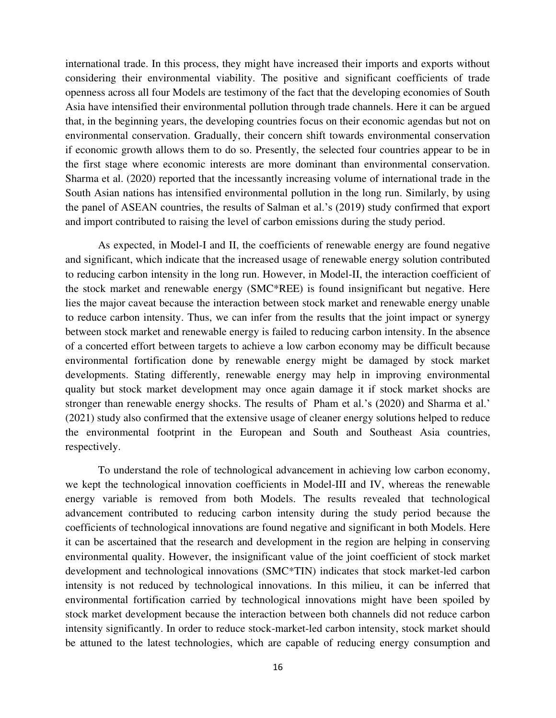international trade. In this process, they might have increased their imports and exports without considering their environmental viability. The positive and significant coefficients of trade openness across all four Models are testimony of the fact that the developing economies of South Asia have intensified their environmental pollution through trade channels. Here it can be argued that, in the beginning years, the developing countries focus on their economic agendas but not on environmental conservation. Gradually, their concern shift towards environmental conservation if economic growth allows them to do so. Presently, the selected four countries appear to be in the first stage where economic interests are more dominant than environmental conservation. Sharma et al. (2020) reported that the incessantly increasing volume of international trade in the South Asian nations has intensified environmental pollution in the long run. Similarly, by using the panel of ASEAN countries, the results of Salman et al.'s (2019) study confirmed that export and import contributed to raising the level of carbon emissions during the study period.

As expected, in Model-I and II, the coefficients of renewable energy are found negative and significant, which indicate that the increased usage of renewable energy solution contributed to reducing carbon intensity in the long run. However, in Model-II, the interaction coefficient of the stock market and renewable energy (SMC\*REE) is found insignificant but negative. Here lies the major caveat because the interaction between stock market and renewable energy unable to reduce carbon intensity. Thus, we can infer from the results that the joint impact or synergy between stock market and renewable energy is failed to reducing carbon intensity. In the absence of a concerted effort between targets to achieve a low carbon economy may be difficult because environmental fortification done by renewable energy might be damaged by stock market developments. Stating differently, renewable energy may help in improving environmental quality but stock market development may once again damage it if stock market shocks are stronger than renewable energy shocks. The results of Pham et al.'s (2020) and Sharma et al.' (2021) study also confirmed that the extensive usage of cleaner energy solutions helped to reduce the environmental footprint in the European and South and Southeast Asia countries, respectively.

To understand the role of technological advancement in achieving low carbon economy, we kept the technological innovation coefficients in Model-III and IV, whereas the renewable energy variable is removed from both Models. The results revealed that technological advancement contributed to reducing carbon intensity during the study period because the coefficients of technological innovations are found negative and significant in both Models. Here it can be ascertained that the research and development in the region are helping in conserving environmental quality. However, the insignificant value of the joint coefficient of stock market development and technological innovations (SMC\*TIN) indicates that stock market-led carbon intensity is not reduced by technological innovations. In this milieu, it can be inferred that environmental fortification carried by technological innovations might have been spoiled by stock market development because the interaction between both channels did not reduce carbon intensity significantly. In order to reduce stock-market-led carbon intensity, stock market should be attuned to the latest technologies, which are capable of reducing energy consumption and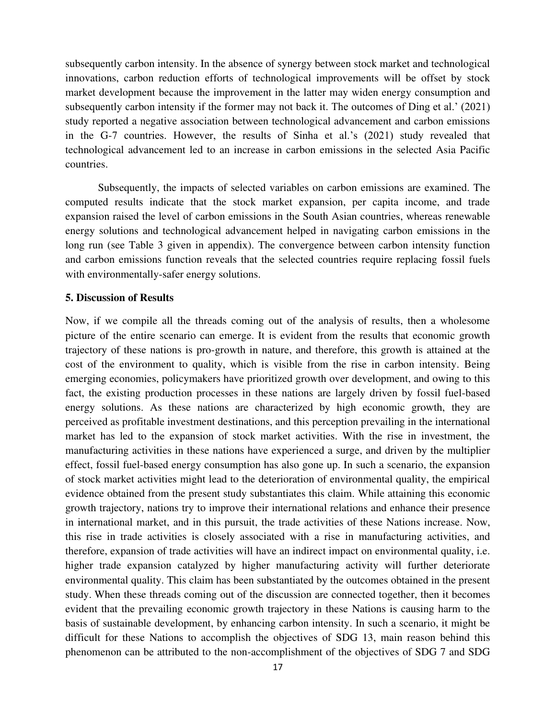subsequently carbon intensity. In the absence of synergy between stock market and technological innovations, carbon reduction efforts of technological improvements will be offset by stock market development because the improvement in the latter may widen energy consumption and subsequently carbon intensity if the former may not back it. The outcomes of Ding et al.' (2021) study reported a negative association between technological advancement and carbon emissions in the G-7 countries. However, the results of Sinha et al.'s (2021) study revealed that technological advancement led to an increase in carbon emissions in the selected Asia Pacific countries.

Subsequently, the impacts of selected variables on carbon emissions are examined. The computed results indicate that the stock market expansion, per capita income, and trade expansion raised the level of carbon emissions in the South Asian countries, whereas renewable energy solutions and technological advancement helped in navigating carbon emissions in the long run (see Table 3 given in appendix). The convergence between carbon intensity function and carbon emissions function reveals that the selected countries require replacing fossil fuels with environmentally-safer energy solutions.

#### **5. Discussion of Results**

Now, if we compile all the threads coming out of the analysis of results, then a wholesome picture of the entire scenario can emerge. It is evident from the results that economic growth trajectory of these nations is pro-growth in nature, and therefore, this growth is attained at the cost of the environment to quality, which is visible from the rise in carbon intensity. Being emerging economies, policymakers have prioritized growth over development, and owing to this fact, the existing production processes in these nations are largely driven by fossil fuel-based energy solutions. As these nations are characterized by high economic growth, they are perceived as profitable investment destinations, and this perception prevailing in the international market has led to the expansion of stock market activities. With the rise in investment, the manufacturing activities in these nations have experienced a surge, and driven by the multiplier effect, fossil fuel-based energy consumption has also gone up. In such a scenario, the expansion of stock market activities might lead to the deterioration of environmental quality, the empirical evidence obtained from the present study substantiates this claim. While attaining this economic growth trajectory, nations try to improve their international relations and enhance their presence in international market, and in this pursuit, the trade activities of these Nations increase. Now, this rise in trade activities is closely associated with a rise in manufacturing activities, and therefore, expansion of trade activities will have an indirect impact on environmental quality, i.e. higher trade expansion catalyzed by higher manufacturing activity will further deteriorate environmental quality. This claim has been substantiated by the outcomes obtained in the present study. When these threads coming out of the discussion are connected together, then it becomes evident that the prevailing economic growth trajectory in these Nations is causing harm to the basis of sustainable development, by enhancing carbon intensity. In such a scenario, it might be difficult for these Nations to accomplish the objectives of SDG 13, main reason behind this phenomenon can be attributed to the non-accomplishment of the objectives of SDG 7 and SDG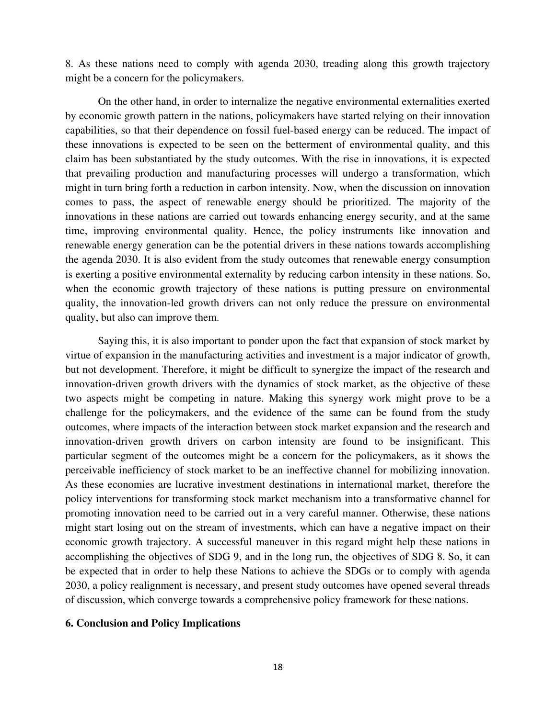8. As these nations need to comply with agenda 2030, treading along this growth trajectory might be a concern for the policymakers.

On the other hand, in order to internalize the negative environmental externalities exerted by economic growth pattern in the nations, policymakers have started relying on their innovation capabilities, so that their dependence on fossil fuel-based energy can be reduced. The impact of these innovations is expected to be seen on the betterment of environmental quality, and this claim has been substantiated by the study outcomes. With the rise in innovations, it is expected that prevailing production and manufacturing processes will undergo a transformation, which might in turn bring forth a reduction in carbon intensity. Now, when the discussion on innovation comes to pass, the aspect of renewable energy should be prioritized. The majority of the innovations in these nations are carried out towards enhancing energy security, and at the same time, improving environmental quality. Hence, the policy instruments like innovation and renewable energy generation can be the potential drivers in these nations towards accomplishing the agenda 2030. It is also evident from the study outcomes that renewable energy consumption is exerting a positive environmental externality by reducing carbon intensity in these nations. So, when the economic growth trajectory of these nations is putting pressure on environmental quality, the innovation-led growth drivers can not only reduce the pressure on environmental quality, but also can improve them.

Saying this, it is also important to ponder upon the fact that expansion of stock market by virtue of expansion in the manufacturing activities and investment is a major indicator of growth, but not development. Therefore, it might be difficult to synergize the impact of the research and innovation-driven growth drivers with the dynamics of stock market, as the objective of these two aspects might be competing in nature. Making this synergy work might prove to be a challenge for the policymakers, and the evidence of the same can be found from the study outcomes, where impacts of the interaction between stock market expansion and the research and innovation-driven growth drivers on carbon intensity are found to be insignificant. This particular segment of the outcomes might be a concern for the policymakers, as it shows the perceivable inefficiency of stock market to be an ineffective channel for mobilizing innovation. As these economies are lucrative investment destinations in international market, therefore the policy interventions for transforming stock market mechanism into a transformative channel for promoting innovation need to be carried out in a very careful manner. Otherwise, these nations might start losing out on the stream of investments, which can have a negative impact on their economic growth trajectory. A successful maneuver in this regard might help these nations in accomplishing the objectives of SDG 9, and in the long run, the objectives of SDG 8. So, it can be expected that in order to help these Nations to achieve the SDGs or to comply with agenda 2030, a policy realignment is necessary, and present study outcomes have opened several threads of discussion, which converge towards a comprehensive policy framework for these nations.

#### **6. Conclusion and Policy Implications**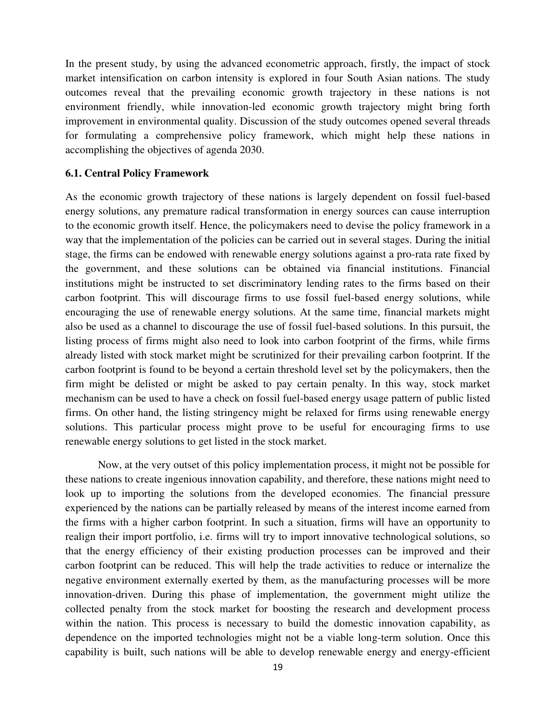In the present study, by using the advanced econometric approach, firstly, the impact of stock market intensification on carbon intensity is explored in four South Asian nations. The study outcomes reveal that the prevailing economic growth trajectory in these nations is not environment friendly, while innovation-led economic growth trajectory might bring forth improvement in environmental quality. Discussion of the study outcomes opened several threads for formulating a comprehensive policy framework, which might help these nations in accomplishing the objectives of agenda 2030.

#### **6.1. Central Policy Framework**

As the economic growth trajectory of these nations is largely dependent on fossil fuel-based energy solutions, any premature radical transformation in energy sources can cause interruption to the economic growth itself. Hence, the policymakers need to devise the policy framework in a way that the implementation of the policies can be carried out in several stages. During the initial stage, the firms can be endowed with renewable energy solutions against a pro-rata rate fixed by the government, and these solutions can be obtained via financial institutions. Financial institutions might be instructed to set discriminatory lending rates to the firms based on their carbon footprint. This will discourage firms to use fossil fuel-based energy solutions, while encouraging the use of renewable energy solutions. At the same time, financial markets might also be used as a channel to discourage the use of fossil fuel-based solutions. In this pursuit, the listing process of firms might also need to look into carbon footprint of the firms, while firms already listed with stock market might be scrutinized for their prevailing carbon footprint. If the carbon footprint is found to be beyond a certain threshold level set by the policymakers, then the firm might be delisted or might be asked to pay certain penalty. In this way, stock market mechanism can be used to have a check on fossil fuel-based energy usage pattern of public listed firms. On other hand, the listing stringency might be relaxed for firms using renewable energy solutions. This particular process might prove to be useful for encouraging firms to use renewable energy solutions to get listed in the stock market.

Now, at the very outset of this policy implementation process, it might not be possible for these nations to create ingenious innovation capability, and therefore, these nations might need to look up to importing the solutions from the developed economies. The financial pressure experienced by the nations can be partially released by means of the interest income earned from the firms with a higher carbon footprint. In such a situation, firms will have an opportunity to realign their import portfolio, i.e. firms will try to import innovative technological solutions, so that the energy efficiency of their existing production processes can be improved and their carbon footprint can be reduced. This will help the trade activities to reduce or internalize the negative environment externally exerted by them, as the manufacturing processes will be more innovation-driven. During this phase of implementation, the government might utilize the collected penalty from the stock market for boosting the research and development process within the nation. This process is necessary to build the domestic innovation capability, as dependence on the imported technologies might not be a viable long-term solution. Once this capability is built, such nations will be able to develop renewable energy and energy-efficient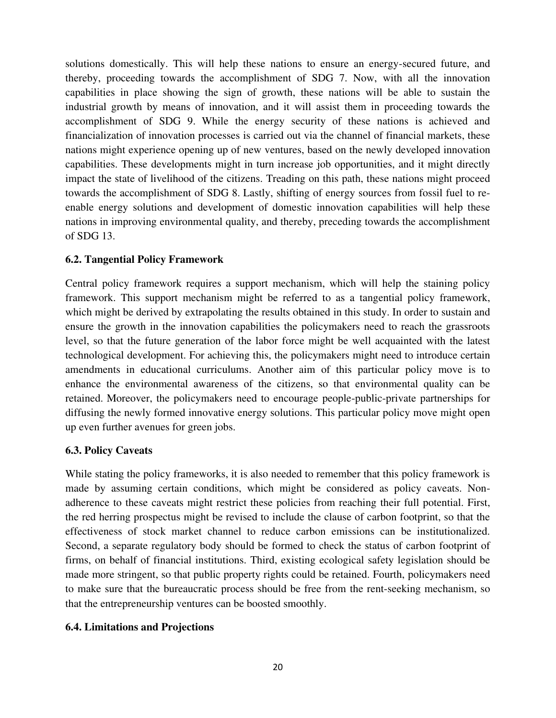solutions domestically. This will help these nations to ensure an energy-secured future, and thereby, proceeding towards the accomplishment of SDG 7. Now, with all the innovation capabilities in place showing the sign of growth, these nations will be able to sustain the industrial growth by means of innovation, and it will assist them in proceeding towards the accomplishment of SDG 9. While the energy security of these nations is achieved and financialization of innovation processes is carried out via the channel of financial markets, these nations might experience opening up of new ventures, based on the newly developed innovation capabilities. These developments might in turn increase job opportunities, and it might directly impact the state of livelihood of the citizens. Treading on this path, these nations might proceed towards the accomplishment of SDG 8. Lastly, shifting of energy sources from fossil fuel to reenable energy solutions and development of domestic innovation capabilities will help these nations in improving environmental quality, and thereby, preceding towards the accomplishment of SDG 13.

# **6.2. Tangential Policy Framework**

Central policy framework requires a support mechanism, which will help the staining policy framework. This support mechanism might be referred to as a tangential policy framework, which might be derived by extrapolating the results obtained in this study. In order to sustain and ensure the growth in the innovation capabilities the policymakers need to reach the grassroots level, so that the future generation of the labor force might be well acquainted with the latest technological development. For achieving this, the policymakers might need to introduce certain amendments in educational curriculums. Another aim of this particular policy move is to enhance the environmental awareness of the citizens, so that environmental quality can be retained. Moreover, the policymakers need to encourage people-public-private partnerships for diffusing the newly formed innovative energy solutions. This particular policy move might open up even further avenues for green jobs.

# **6.3. Policy Caveats**

While stating the policy frameworks, it is also needed to remember that this policy framework is made by assuming certain conditions, which might be considered as policy caveats. Nonadherence to these caveats might restrict these policies from reaching their full potential. First, the red herring prospectus might be revised to include the clause of carbon footprint, so that the effectiveness of stock market channel to reduce carbon emissions can be institutionalized. Second, a separate regulatory body should be formed to check the status of carbon footprint of firms, on behalf of financial institutions. Third, existing ecological safety legislation should be made more stringent, so that public property rights could be retained. Fourth, policymakers need to make sure that the bureaucratic process should be free from the rent-seeking mechanism, so that the entrepreneurship ventures can be boosted smoothly.

# **6.4. Limitations and Projections**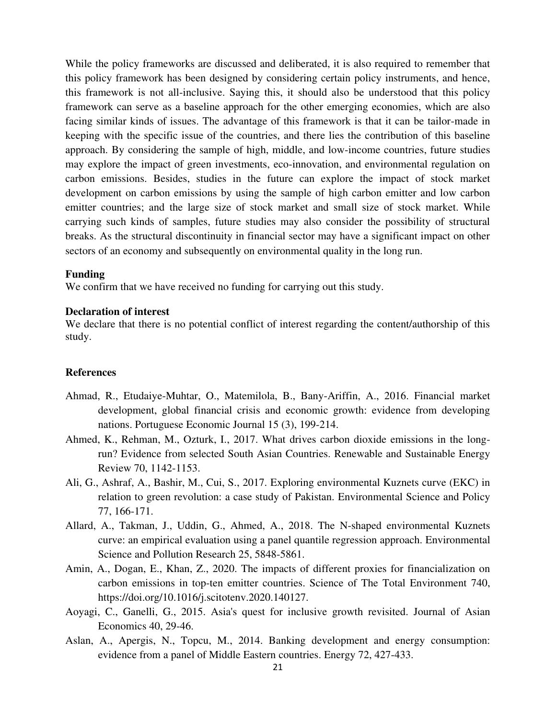While the policy frameworks are discussed and deliberated, it is also required to remember that this policy framework has been designed by considering certain policy instruments, and hence, this framework is not all-inclusive. Saying this, it should also be understood that this policy framework can serve as a baseline approach for the other emerging economies, which are also facing similar kinds of issues. The advantage of this framework is that it can be tailor-made in keeping with the specific issue of the countries, and there lies the contribution of this baseline approach. By considering the sample of high, middle, and low-income countries, future studies may explore the impact of green investments, eco-innovation, and environmental regulation on carbon emissions. Besides, studies in the future can explore the impact of stock market development on carbon emissions by using the sample of high carbon emitter and low carbon emitter countries; and the large size of stock market and small size of stock market. While carrying such kinds of samples, future studies may also consider the possibility of structural breaks. As the structural discontinuity in financial sector may have a significant impact on other sectors of an economy and subsequently on environmental quality in the long run.

# **Funding**

We confirm that we have received no funding for carrying out this study.

#### **Declaration of interest**

We declare that there is no potential conflict of interest regarding the content/authorship of this study.

#### **References**

- Ahmad, R., Etudaiye-Muhtar, O., Matemilola, B., Bany-Ariffin, A., 2016. Financial market development, global financial crisis and economic growth: evidence from developing nations. Portuguese Economic Journal 15 (3), 199-214.
- Ahmed, K., Rehman, M., Ozturk, I., 2017. What drives carbon dioxide emissions in the longrun? Evidence from selected South Asian Countries. Renewable and Sustainable Energy Review 70, 1142-1153.
- Ali, G., Ashraf, A., Bashir, M., Cui, S., 2017. Exploring environmental Kuznets curve (EKC) in relation to green revolution: a case study of Pakistan. Environmental Science and Policy 77, 166-171.
- Allard, A., Takman, J., Uddin, G., Ahmed, A., 2018. The N-shaped environmental Kuznets curve: an empirical evaluation using a panel quantile regression approach. Environmental Science and Pollution Research 25, 5848-5861.
- Amin, A., Dogan, E., Khan, Z., 2020. The impacts of different proxies for financialization on carbon emissions in top-ten emitter countries. Science of The Total Environment 740, https://doi.org/10.1016/j.scitotenv.2020.140127.
- Aoyagi, C., Ganelli, G., 2015. Asia's quest for inclusive growth revisited. Journal of Asian Economics 40, 29-46.
- Aslan, A., Apergis, N., Topcu, M., 2014. Banking development and energy consumption: evidence from a panel of Middle Eastern countries. Energy 72, 427-433.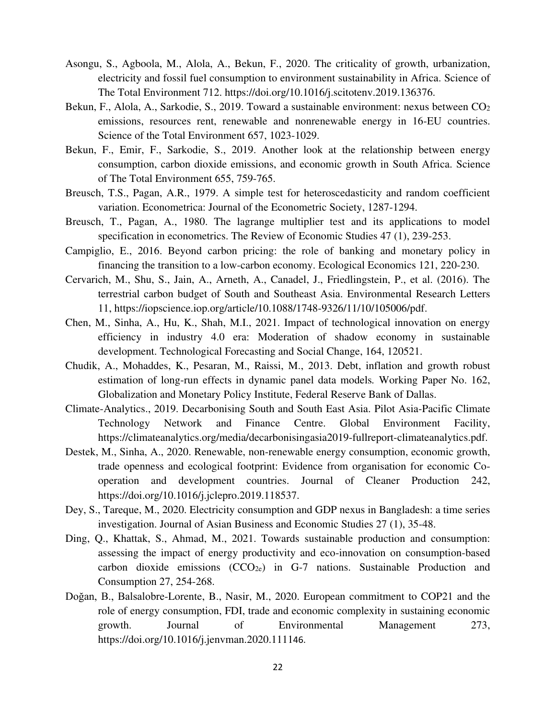- Asongu, S., Agboola, M., Alola, A., Bekun, F., 2020. The criticality of growth, urbanization, electricity and fossil fuel consumption to environment sustainability in Africa. Science of The Total Environment 712. https://doi.org/10.1016/j.scitotenv.2019.136376.
- Bekun, F., Alola, A., Sarkodie, S., 2019. Toward a sustainable environment: nexus between CO<sub>2</sub> emissions, resources rent, renewable and nonrenewable energy in 16-EU countries. Science of the Total Environment 657, 1023-1029.
- Bekun, F., Emir, F., Sarkodie, S., 2019. Another look at the relationship between energy consumption, carbon dioxide emissions, and economic growth in South Africa. Science of The Total Environment 655, 759-765.
- Breusch, T.S., Pagan, A.R., 1979. A simple test for heteroscedasticity and random coefficient variation. Econometrica: Journal of the Econometric Society, 1287-1294.
- Breusch, T., Pagan, A., 1980. The lagrange multiplier test and its applications to model specification in econometrics. The Review of Economic Studies 47 (1), 239-253.
- Campiglio, E., 2016. Beyond carbon pricing: the role of banking and monetary policy in financing the transition to a low-carbon economy. Ecological Economics 121, 220-230.
- Cervarich, M., Shu, S., Jain, A., Arneth, A., Canadel, J., Friedlingstein, P., et al. (2016). The terrestrial carbon budget of South and Southeast Asia. Environmental Research Letters 11, https://iopscience.iop.org/article/10.1088/1748-9326/11/10/105006/pdf.
- Chen, M., Sinha, A., Hu, K., Shah, M.I., 2021. Impact of technological innovation on energy efficiency in industry 4.0 era: Moderation of shadow economy in sustainable development. Technological Forecasting and Social Change, 164, 120521.
- Chudik, A., Mohaddes, K., Pesaran, M., Raissi, M., 2013. Debt, inflation and growth robust estimation of long-run effects in dynamic panel data models*.* Working Paper No. 162, Globalization and Monetary Policy Institute, Federal Reserve Bank of Dallas.
- Climate-Analytics., 2019. Decarbonising South and South East Asia. Pilot Asia-Pacific Climate Technology Network and Finance Centre. Global Environment Facility, https://climateanalytics.org/media/decarbonisingasia2019-fullreport-climateanalytics.pdf.
- Destek, M., Sinha, A., 2020. Renewable, non-renewable energy consumption, economic growth, trade openness and ecological footprint: Evidence from organisation for economic Cooperation and development countries. Journal of Cleaner Production 242, https://doi.org/10.1016/j.jclepro.2019.118537.
- Dey, S., Tareque, M., 2020. Electricity consumption and GDP nexus in Bangladesh: a time series investigation. Journal of Asian Business and Economic Studies 27 (1), 35-48.
- Ding, Q., Khattak, S., Ahmad, M., 2021. Towards sustainable production and consumption: assessing the impact of energy productivity and eco-innovation on consumption-based carbon dioxide emissions  $(CCO<sub>2e</sub>)$  in G-7 nations. Sustainable Production and Consumption 27, 254-268.
- Doğan, B., Balsalobre-Lorente, B., Nasir, M., 2020. European commitment to COP21 and the role of energy consumption, FDI, trade and economic complexity in sustaining economic growth. Journal of Environmental Management 273, https://doi.org/10.1016/j.jenvman.2020.111146.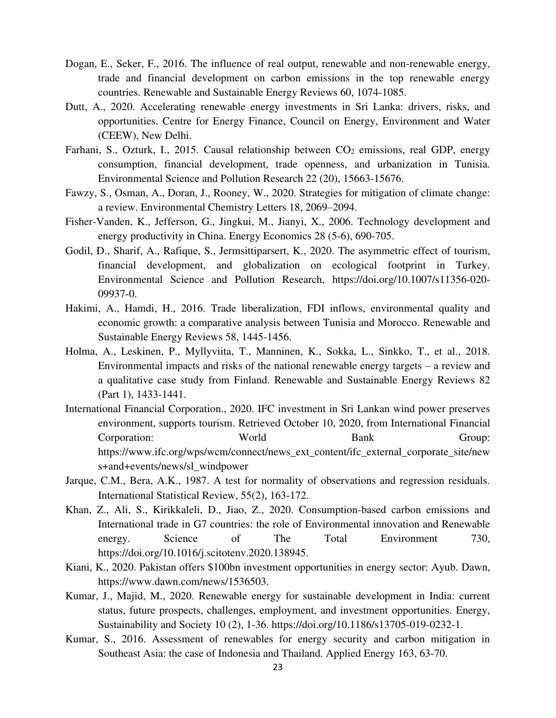- Dogan, E., Seker, F., 2016. The influence of real output, renewable and non-renewable energy, trade and financial development on carbon emissions in the top renewable energy countries. Renewable and Sustainable Energy Reviews 60, 1074-1085.
- Dutt, A., 2020. Accelerating renewable energy investments in Sri Lanka: drivers, risks, and opportunities. Centre for Energy Finance, Council on Energy, Environment and Water (CEEW), New Delhi.
- Farhani, S., Ozturk, I., 2015. Causal relationship between  $CO<sub>2</sub>$  emissions, real GDP, energy consumption, financial development, trade openness, and urbanization in Tunisia. Environmental Science and Pollution Research 22 (20), 15663-15676.
- Fawzy, S., Osman, A., Doran, J., Rooney, W., 2020. Strategies for mitigation of climate change: a review. Environmental Chemistry Letters 18, 2069–2094.
- Fisher-Vanden, K., Jefferson, G., Jingkui, M., Jianyi, X., 2006. Technology development and energy productivity in China. Energy Economics 28 (5-6), 690-705.
- Godil, D., Sharif, A., Rafique, S., Jermsittiparsert, K., 2020. The asymmetric effect of tourism, financial development, and globalization on ecological footprint in Turkey. Environmental Science and Pollution Research, https://doi.org/10.1007/s11356-020- 09937-0.
- Hakimi, A., Hamdi, H., 2016. Trade liberalization, FDI inflows, environmental quality and economic growth: a comparative analysis between Tunisia and Morocco. Renewable and Sustainable Energy Reviews 58, 1445-1456.
- Holma, A., Leskinen, P., Myllyviita, T., Manninen, K., Sokka, L., Sinkko, T., et al., 2018. Environmental impacts and risks of the national renewable energy targets – a review and a qualitative case study from Finland. Renewable and Sustainable Energy Reviews 82 (Part 1), 1433-1441.
- International Financial Corporation., 2020. IFC investment in Sri Lankan wind power preserves environment, supports tourism. Retrieved October 10, 2020, from International Financial Corporation: World Bank Group: https://www.ifc.org/wps/wcm/connect/news\_ext\_content/ifc\_external\_corporate\_site/new s+and+events/news/sl\_windpower
- Jarque, C.M., Bera, A.K., 1987. A test for normality of observations and regression residuals. International Statistical Review, 55(2), 163-172.
- Khan, Z., Ali, S., Kirikkaleli, D., Jiao, Z., 2020. Consumption-based carbon emissions and International trade in G7 countries: the role of Environmental innovation and Renewable energy. Science of The Total Environment 730, https://doi.org/10.1016/j.scitotenv.2020.138945.
- Kiani, K., 2020. Pakistan offers \$100bn investment opportunities in energy sector: Ayub. Dawn, https://www.dawn.com/news/1536503.
- Kumar, J., Majid, M., 2020. Renewable energy for sustainable development in India: current status, future prospects, challenges, employment, and investment opportunities. Energy, Sustainability and Society 10 (2), 1-36. https://doi.org/10.1186/s13705-019-0232-1.
- Kumar, S., 2016. Assessment of renewables for energy security and carbon mitigation in Southeast Asia: the case of Indonesia and Thailand. Applied Energy 163, 63-70.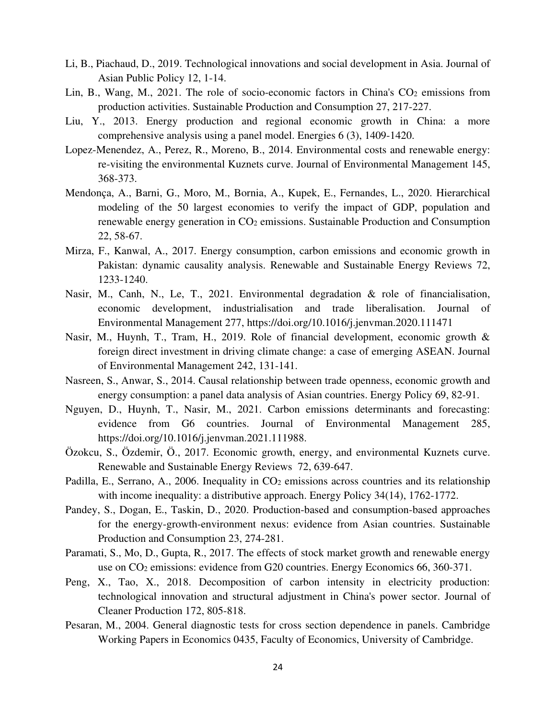- Li, B., Piachaud, D., 2019. Technological innovations and social development in Asia. Journal of Asian Public Policy 12, 1-14.
- Lin, B., Wang, M., 2021. The role of socio-economic factors in China's  $CO<sub>2</sub>$  emissions from production activities. Sustainable Production and Consumption 27, 217-227.
- Liu, Y., 2013. Energy production and regional economic growth in China: a more comprehensive analysis using a panel model. Energies 6 (3), 1409-1420.
- Lopez-Menendez, A., Perez, R., Moreno, B., 2014. Environmental costs and renewable energy: re-visiting the environmental Kuznets curve. Journal of Environmental Management 145, 368-373.
- Mendonça, A., Barni, G., Moro, M., Bornia, A., Kupek, E., Fernandes, L., 2020. Hierarchical modeling of the 50 largest economies to verify the impact of GDP, population and renewable energy generation in CO2 emissions. Sustainable Production and Consumption 22, 58-67.
- Mirza, F., Kanwal, A., 2017. Energy consumption, carbon emissions and economic growth in Pakistan: dynamic causality analysis. Renewable and Sustainable Energy Reviews 72, 1233-1240.
- Nasir, M., Canh, N., Le, T., 2021. Environmental degradation & role of financialisation, economic development, industrialisation and trade liberalisation. Journal of Environmental Management 277, https://doi.org/10.1016/j.jenvman.2020.111471
- Nasir, M., Huynh, T., Tram, H., 2019. Role of financial development, economic growth & foreign direct investment in driving climate change: a case of emerging ASEAN. Journal of Environmental Management 242, 131-141.
- Nasreen, S., Anwar, S., 2014. Causal relationship between trade openness, economic growth and energy consumption: a panel data analysis of Asian countries. Energy Policy 69, 82-91.
- Nguyen, D., Huynh, T., Nasir, M., 2021. Carbon emissions determinants and forecasting: evidence from G6 countries. Journal of Environmental Management 285, https://doi.org/10.1016/j.jenvman.2021.111988.
- Özokcu, S., Özdemir, Ö., 2017. Economic growth, energy, and environmental Kuznets curve. Renewable and Sustainable Energy Reviews 72, 639-647.
- Padilla, E., Serrano, A., 2006. Inequality in CO<sub>2</sub> emissions across countries and its relationship with income inequality: a distributive approach. Energy Policy 34(14), 1762-1772.
- Pandey, S., Dogan, E., Taskin, D., 2020. Production-based and consumption-based approaches for the energy-growth-environment nexus: evidence from Asian countries. Sustainable Production and Consumption 23, 274-281.
- Paramati, S., Mo, D., Gupta, R., 2017. The effects of stock market growth and renewable energy use on CO<sub>2</sub> emissions: evidence from G20 countries. Energy Economics 66, 360-371.
- Peng, X., Tao, X., 2018. Decomposition of carbon intensity in electricity production: technological innovation and structural adjustment in China's power sector. Journal of Cleaner Production 172, 805-818.
- Pesaran, M., 2004. General diagnostic tests for cross section dependence in panels. Cambridge Working Papers in Economics 0435, Faculty of Economics, University of Cambridge.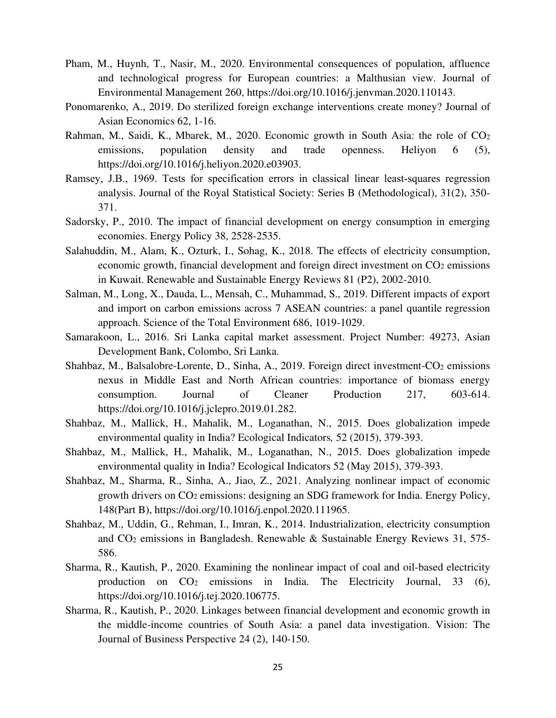- Pham, M., Huynh, T., Nasir, M., 2020. Environmental consequences of population, affluence and technological progress for European countries: a Malthusian view. Journal of Environmental Management 260, https://doi.org/10.1016/j.jenvman.2020.110143.
- Ponomarenko, A., 2019. Do sterilized foreign exchange interventions create money? Journal of Asian Economics 62, 1-16.
- Rahman, M., Saidi, K., Mbarek, M., 2020. Economic growth in South Asia: the role of CO<sup>2</sup> emissions, population density and trade openness. Heliyon 6 (5), https://doi.org/10.1016/j.heliyon.2020.e03903.
- Ramsey, J.B., 1969. Tests for specification errors in classical linear least-squares regression analysis. Journal of the Royal Statistical Society: Series B (Methodological), 31(2), 350- 371.
- Sadorsky, P., 2010. The impact of financial development on energy consumption in emerging economies. Energy Policy 38, 2528-2535.
- Salahuddin, M., Alam, K., Ozturk, I., Sohag, K., 2018. The effects of electricity consumption, economic growth, financial development and foreign direct investment on  $CO<sub>2</sub>$  emissions in Kuwait. Renewable and Sustainable Energy Reviews 81 (P2), 2002-2010.
- Salman, M., Long, X., Dauda, L., Mensah, C., Muhammad, S., 2019. Different impacts of export and import on carbon emissions across 7 ASEAN countries: a panel quantile regression approach. Science of the Total Environment 686, 1019-1029.
- Samarakoon, L., 2016. Sri Lanka capital market assessment. Project Number: 49273, Asian Development Bank, Colombo, Sri Lanka.
- Shahbaz, M., Balsalobre-Lorente, D., Sinha, A., 2019. Foreign direct investment-CO<sub>2</sub> emissions nexus in Middle East and North African countries: importance of biomass energy consumption. Journal of Cleaner Production 217, 603-614. https://doi.org/10.1016/j.jclepro.2019.01.282.
- Shahbaz, M., Mallick, H., Mahalik, M., Loganathan, N., 2015. Does globalization impede environmental quality in India? Ecological Indicators*,* 52 (2015), 379-393.
- Shahbaz, M., Mallick, H., Mahalik, M., Loganathan, N., 2015. Does globalization impede environmental quality in India? Ecological Indicators 52 (May 2015), 379-393.
- Shahbaz, M., Sharma, R., Sinha, A., Jiao, Z., 2021. Analyzing nonlinear impact of economic growth drivers on CO2 emissions: designing an SDG framework for India. Energy Policy, 148(Part B), [https://doi.org/10.1016/j.enpol.2020.111965.](https://doi.org/10.1016/j.enpol.2020.111965)
- Shahbaz, M., Uddin, G., Rehman, I., Imran, K., 2014. Industrialization, electricity consumption and CO2 emissions in Bangladesh. Renewable & Sustainable Energy Reviews 31, 575- 586.
- Sharma, R., Kautish, P., 2020. Examining the nonlinear impact of coal and oil-based electricity production on CO2 emissions in India. The Electricity Journal, 33 (6), https://doi.org/10.1016/j.tej.2020.106775.
- Sharma, R., Kautish, P., 2020. Linkages between financial development and economic growth in the middle-income countries of South Asia: a panel data investigation. Vision: The Journal of Business Perspective 24 (2), 140-150.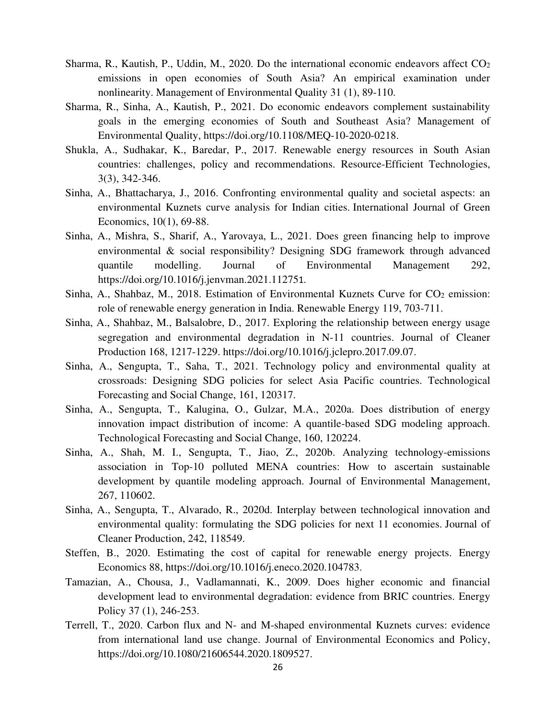- Sharma, R., Kautish, P., Uddin, M., 2020. Do the international economic endeavors affect CO<sup>2</sup> emissions in open economies of South Asia? An empirical examination under nonlinearity. Management of Environmental Quality 31 (1), 89-110.
- Sharma, R., Sinha, A., Kautish, P., 2021. Do economic endeavors complement sustainability goals in the emerging economies of South and Southeast Asia? Management of Environmental Quality, https://doi.org/10.1108/MEQ-10-2020-0218.
- Shukla, A., Sudhakar, K., Baredar, P., 2017. Renewable energy resources in South Asian countries: challenges, policy and recommendations. Resource-Efficient Technologies, 3(3), 342-346.
- Sinha, A., Bhattacharya, J., 2016. Confronting environmental quality and societal aspects: an environmental Kuznets curve analysis for Indian cities. International Journal of Green Economics, 10(1), 69-88.
- Sinha, A., Mishra, S., Sharif, A., Yarovaya, L., 2021. Does green financing help to improve environmental & social responsibility? Designing SDG framework through advanced quantile modelling. Journal of Environmental Management 292, https://doi.org/10.1016/j.jenvman.2021.112751.
- Sinha, A., Shahbaz, M., 2018. Estimation of Environmental Kuznets Curve for CO<sub>2</sub> emission: role of renewable energy generation in India. Renewable Energy 119, 703-711.
- Sinha, A., Shahbaz, M., Balsalobre, D., 2017. Exploring the relationship between energy usage segregation and environmental degradation in N-11 countries. Journal of Cleaner Production 168, 1217-1229. https://doi.org/10.1016/j.jclepro.2017.09.07.
- Sinha, A., Sengupta, T., Saha, T., 2021. Technology policy and environmental quality at crossroads: Designing SDG policies for select Asia Pacific countries. Technological Forecasting and Social Change, 161, 120317.
- Sinha, A., Sengupta, T., Kalugina, O., Gulzar, M.A., 2020a. Does distribution of energy innovation impact distribution of income: A quantile-based SDG modeling approach. Technological Forecasting and Social Change, 160, 120224.
- Sinha, A., Shah, M. I., Sengupta, T., Jiao, Z., 2020b. Analyzing technology-emissions association in Top-10 polluted MENA countries: How to ascertain sustainable development by quantile modeling approach. Journal of Environmental Management, 267, 110602.
- Sinha, A., Sengupta, T., Alvarado, R., 2020d. Interplay between technological innovation and environmental quality: formulating the SDG policies for next 11 economies. Journal of Cleaner Production, 242, 118549.
- Steffen, B., 2020. Estimating the cost of capital for renewable energy projects. Energy Economics 88, https://doi.org/10.1016/j.eneco.2020.104783.
- Tamazian, A., Chousa, J., Vadlamannati, K., 2009. Does higher economic and financial development lead to environmental degradation: evidence from BRIC countries. Energy Policy 37 (1), 246-253.
- Terrell, T., 2020. Carbon flux and N- and M-shaped environmental Kuznets curves: evidence from international land use change. Journal of Environmental Economics and Policy, https://doi.org/10.1080/21606544.2020.1809527.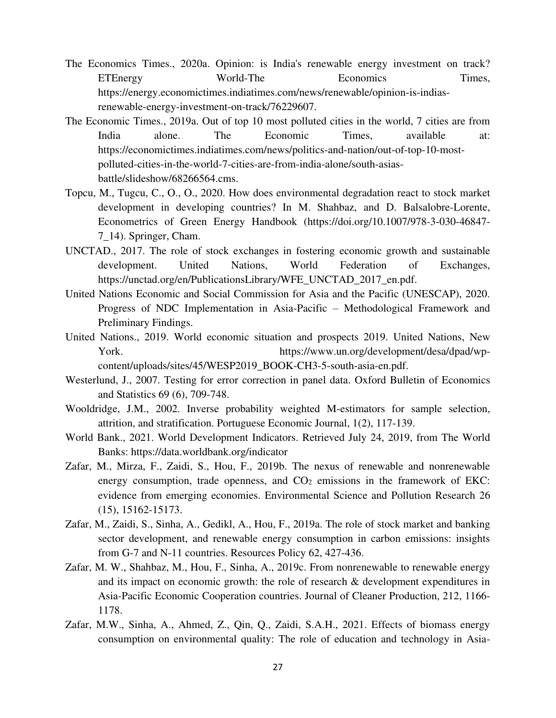- The Economics Times., 2020a. Opinion: is India's renewable energy investment on track? ETEnergy World-The Economics Times, https://energy.economictimes.indiatimes.com/news/renewable/opinion-is-indiasrenewable-energy-investment-on-track/76229607.
- The Economic Times., 2019a. Out of top 10 most polluted cities in the world, 7 cities are from India alone. The Economic Times, available at: https://economictimes.indiatimes.com/news/politics-and-nation/out-of-top-10-mostpolluted-cities-in-the-world-7-cities-are-from-india-alone/south-asiasbattle/slideshow/68266564.cms.
- Topcu, M., Tugcu, C., O., O., 2020. How does environmental degradation react to stock market development in developing countries? In M. Shahbaz, and D. Balsalobre-Lorente, Econometrics of Green Energy Handbook (https://doi.org/10.1007/978-3-030-46847- 7\_14). Springer, Cham.
- UNCTAD., 2017. The role of stock exchanges in fostering economic growth and sustainable development. United Nations, World Federation of Exchanges, https://unctad.org/en/PublicationsLibrary/WFE\_UNCTAD\_2017\_en.pdf.
- United Nations Economic and Social Commission for Asia and the Pacific (UNESCAP), 2020. Progress of NDC Implementation in Asia-Pacific – Methodological Framework and Preliminary Findings.
- United Nations., 2019. World economic situation and prospects 2019. United Nations, New York. https://www.un.org/development/desa/dpad/wpcontent/uploads/sites/45/WESP2019\_BOOK-CH3-5-south-asia-en.pdf.
- Westerlund, J., 2007. Testing for error correction in panel data. Oxford Bulletin of Economics and Statistics 69 (6), 709-748.
- Wooldridge, J.M., 2002. Inverse probability weighted M-estimators for sample selection, attrition, and stratification. Portuguese Economic Journal, 1(2), 117-139.
- World Bank., 2021. World Development Indicators. Retrieved July 24, 2019, from The World Banks: https://data.worldbank.org/indicator
- Zafar, M., Mirza, F., Zaidi, S., Hou, F., 2019b. The nexus of renewable and nonrenewable energy consumption, trade openness, and  $CO<sub>2</sub>$  emissions in the framework of EKC: evidence from emerging economies. Environmental Science and Pollution Research 26 (15), 15162-15173.
- Zafar, M., Zaidi, S., Sinha, A., Gedikl, A., Hou, F., 2019a. The role of stock market and banking sector development, and renewable energy consumption in carbon emissions: insights from G-7 and N-11 countries. Resources Policy 62, 427-436.
- Zafar, M. W., Shahbaz, M., Hou, F., Sinha, A., 2019c. From nonrenewable to renewable energy and its impact on economic growth: the role of research & development expenditures in Asia-Pacific Economic Cooperation countries. Journal of Cleaner Production, 212, 1166- 1178.
- Zafar, M.W., Sinha, A., Ahmed, Z., Qin, Q., Zaidi, S.A.H., 2021. Effects of biomass energy consumption on environmental quality: The role of education and technology in Asia-